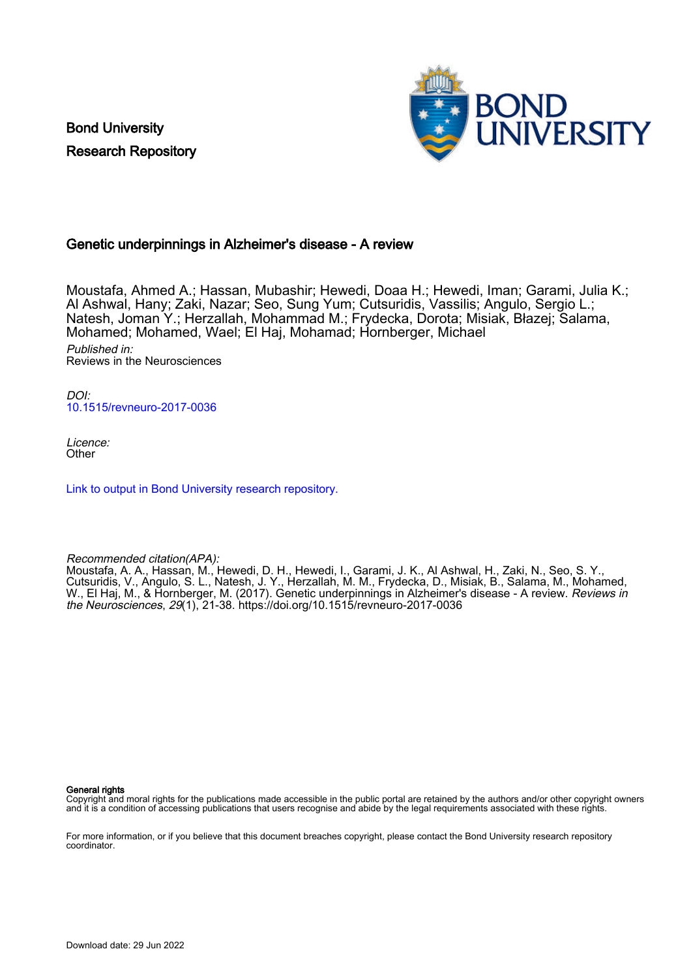Bond University Research Repository



# Genetic underpinnings in Alzheimer's disease - A review

Moustafa, Ahmed A.; Hassan, Mubashir; Hewedi, Doaa H.; Hewedi, Iman; Garami, Julia K.; Al Ashwal, Hany; Zaki, Nazar; Seo, Sung Yum; Cutsuridis, Vassilis; Angulo, Sergio L.; Natesh, Joman Y.; Herzallah, Mohammad M.; Frydecka, Dorota; Misiak, Błazej; Salama, Mohamed; Mohamed, Wael; El Haj, Mohamad; Hornberger, Michael Published in: Reviews in the Neurosciences

DOI: [10.1515/revneuro-2017-0036](https://doi.org/10.1515/revneuro-2017-0036)

Licence: **Other** 

[Link to output in Bond University research repository.](https://research.bond.edu.au/en/publications/9147266e-622f-4c47-b576-f6f1d2860e76)

Recommended citation(APA):

Moustafa, A. A., Hassan, M., Hewedi, D. H., Hewedi, I., Garami, J. K., Al Ashwal, H., Zaki, N., Seo, S. Y., Cutsuridis, V., Angulo, S. L., Natesh, J. Y., Herzallah, M. M., Frydecka, D., Misiak, B., Salama, M., Mohamed, W., El Haj, M., & Hornberger, M. (2017). Genetic underpinnings in Alzheimer's disease - A review. *Reviews in* the Neurosciences, 29(1), 21-38.<https://doi.org/10.1515/revneuro-2017-0036>

#### General rights

Copyright and moral rights for the publications made accessible in the public portal are retained by the authors and/or other copyright owners and it is a condition of accessing publications that users recognise and abide by the legal requirements associated with these rights.

For more information, or if you believe that this document breaches copyright, please contact the Bond University research repository coordinator.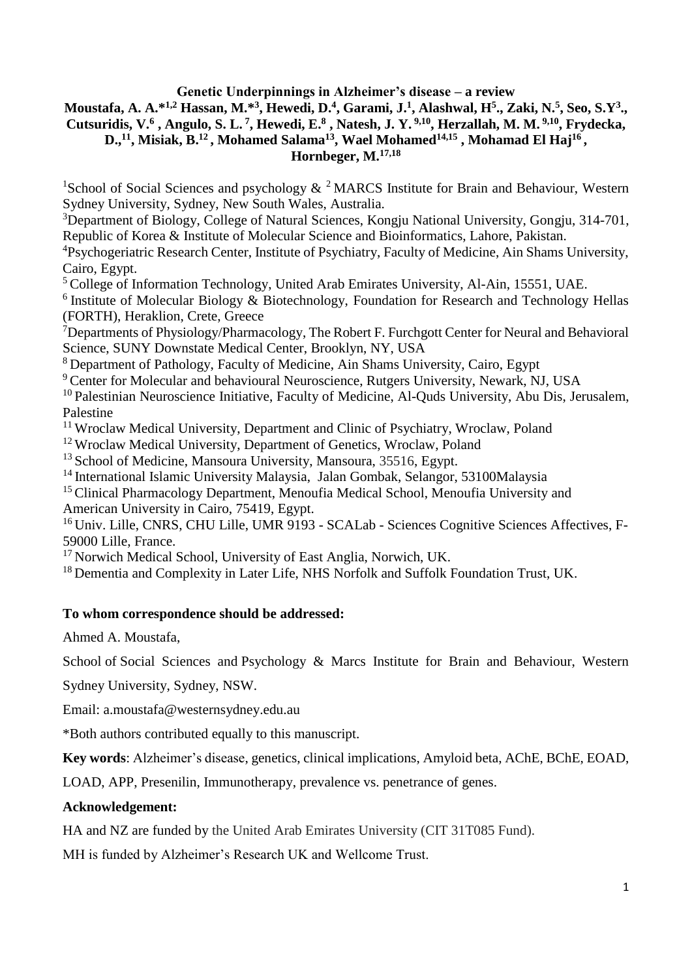**Genetic Underpinnings in Alzheimer's disease – a review**

**Moustafa, A. A.\*1,2 Hassan, M.\*<sup>3</sup> , Hewedi, D.<sup>4</sup> , Garami, J.<sup>1</sup> , Alashwal, H<sup>5</sup> ., Zaki, N.<sup>5</sup> , Seo, S.Y<sup>3</sup> .,**  Cutsuridis, V.<sup>6</sup>, Angulo, S. L.<sup>7</sup>, Hewedi, E.<sup>8</sup>, Natesh, J. Y.<sup>9,10</sup>, Herzallah, M. M.<sup>9,10</sup>, Frydecka, **D.,<sup>11</sup>, Misiak, B.<sup>12</sup> , Mohamed Salama<sup>13</sup> , Wael Mohamed14,15 , Mohamad El Haj<sup>16</sup> ,** 

**Hornbeger, M.17,18**

<sup>1</sup>School of Social Sciences and psychology  $\&$  <sup>2</sup> MARCS Institute for Brain and Behaviour, Western Sydney University, Sydney, New South Wales, Australia.

<sup>3</sup>Department of Biology, College of Natural Sciences, Kongju National University, Gongju, 314-701, Republic of Korea & Institute of Molecular Science and Bioinformatics, Lahore, Pakistan.

<sup>4</sup>Psychogeriatric Research Center, Institute of Psychiatry, Faculty of Medicine, Ain Shams University, Cairo, Egypt.

<sup>5</sup> College of Information Technology, United Arab Emirates University, Al-Ain, 15551, UAE.

<sup>6</sup> Institute of Molecular Biology & Biotechnology, Foundation for Research and Technology Hellas (FORTH), Heraklion, Crete, Greece

<sup>7</sup>Departments of Physiology/Pharmacology, The Robert F. Furchgott Center for Neural and Behavioral Science, SUNY Downstate Medical Center, Brooklyn, NY, USA

<sup>8</sup> Department of Pathology, Faculty of Medicine, Ain Shams University, Cairo, Egypt

<sup>9</sup> Center for Molecular and behavioural Neuroscience, Rutgers University, Newark, NJ, USA

<sup>10</sup> Palestinian Neuroscience Initiative, Faculty of Medicine, Al-Quds University, Abu Dis, Jerusalem, Palestine

<sup>11</sup> Wroclaw Medical University, Department and Clinic of Psychiatry, Wroclaw, Poland

<sup>12</sup> Wroclaw Medical University, Department of Genetics, Wroclaw, Poland

 $13$  School of Medicine, Mansoura University, Mansoura, 35516, Egypt.

<sup>14</sup> International Islamic University Malaysia, Jalan Gombak, Selangor, 53100Malaysia

<sup>15</sup> Clinical Pharmacology Department, Menoufia Medical School, Menoufia University and American University in Cairo, 75419, Egypt.

<sup>16</sup> Univ. Lille, CNRS, CHU Lille, UMR 9193 - SCALab - Sciences Cognitive Sciences Affectives, F-59000 Lille, France.

<sup>17</sup> Norwich Medical School, University of East Anglia, Norwich, UK.

<sup>18</sup> Dementia and Complexity in Later Life, NHS Norfolk and Suffolk Foundation Trust, UK.

# **To whom correspondence should be addressed:**

Ahmed A. Moustafa,

School of Social Sciences and Psychology & Marcs Institute for Brain and Behaviour, Western

Sydney University, Sydney, NSW.

Email: [a.moustafa@westernsydney.edu.au](mailto:a.moustafa@westernsydney.edu.au)

\*Both authors contributed equally to this manuscript.

**Key words**: Alzheimer's disease, genetics, clinical implications, Amyloid beta, AChE, BChE, EOAD,

LOAD, APP, Presenilin, Immunotherapy, prevalence vs. penetrance of genes.

# **Acknowledgement:**

HA and NZ are funded by the United Arab Emirates University (CIT 31T085 Fund).

MH is funded by Alzheimer's Research UK and Wellcome Trust.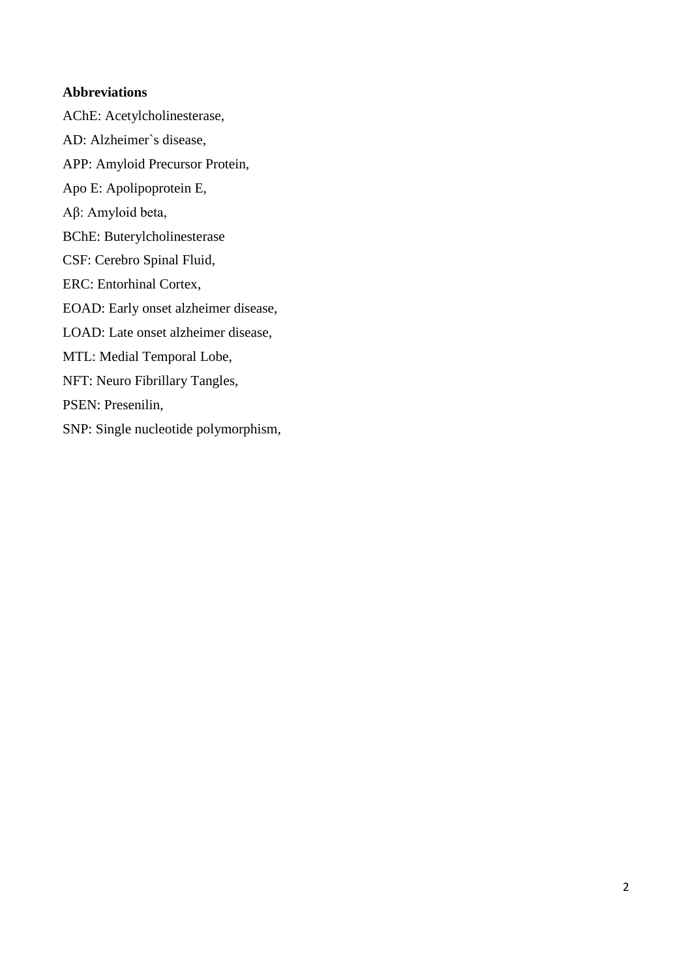# **Abbreviations**

AChE: Acetylcholinesterase, AD: Alzheimer`s disease, APP: Amyloid Precursor Protein, Apo E: Apolipoprotein E, Aβ: Amyloid beta, BChE: Buterylcholinesterase CSF: Cerebro Spinal Fluid, ERC: Entorhinal Cortex, EOAD: Early onset alzheimer disease, LOAD: Late onset alzheimer disease, MTL: Medial Temporal Lobe, NFT: Neuro Fibrillary Tangles, PSEN: Presenilin, SNP: Single nucleotide polymorphism,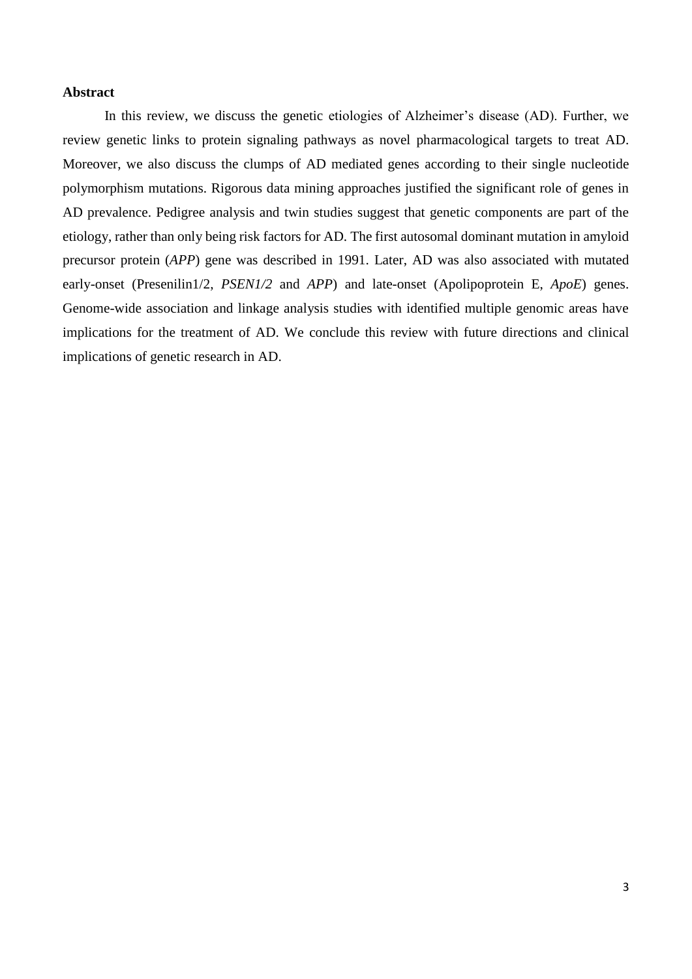#### **Abstract**

In this review, we discuss the genetic etiologies of Alzheimer's disease (AD). Further, we review genetic links to protein signaling pathways as novel pharmacological targets to treat AD. Moreover, we also discuss the clumps of AD mediated genes according to their single nucleotide polymorphism mutations. Rigorous data mining approaches justified the significant role of genes in AD prevalence. Pedigree analysis and twin studies suggest that genetic components are part of the etiology, rather than only being risk factors for AD. The first autosomal dominant mutation in amyloid precursor protein (*APP*) gene was described in 1991. Later, AD was also associated with mutated early-onset (Presenilin1/2, *PSEN1/2* and *APP*) and late-onset (Apolipoprotein E, *ApoE*) genes. Genome-wide association and linkage analysis studies with identified multiple genomic areas have implications for the treatment of AD. We conclude this review with future directions and clinical implications of genetic research in AD.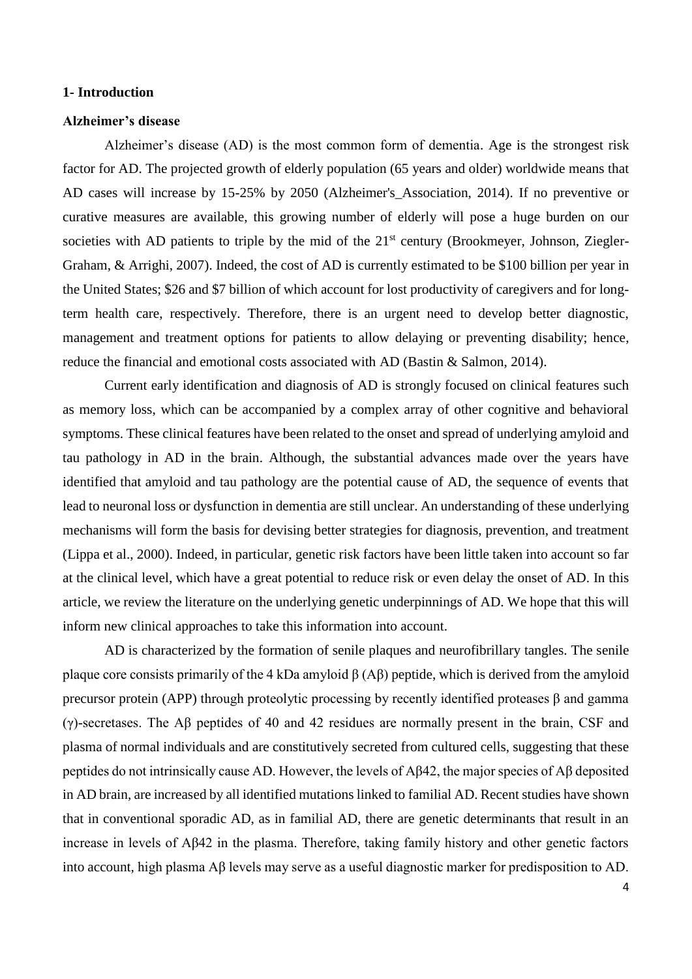#### **1- Introduction**

## **Alzheimer's disease**

Alzheimer's disease (AD) is the most common form of dementia. Age is the strongest risk factor for AD. The projected growth of elderly population (65 years and older) worldwide means that AD cases will increase by 15-25% by 2050 [\(Alzheimer's\\_Association, 2014\)](#page-24-0). If no preventive or curative measures are available, this growing number of elderly will pose a huge burden on our societies with AD patients to triple by the mid of the  $21<sup>st</sup>$  century [\(Brookmeyer, Johnson, Ziegler-](#page-24-1)[Graham, & Arrighi, 2007\)](#page-24-1). Indeed, the cost of AD is currently estimated to be \$100 billion per year in the United States; \$26 and \$7 billion of which account for lost productivity of caregivers and for longterm health care, respectively. Therefore, there is an urgent need to develop better diagnostic, management and treatment options for patients to allow delaying or preventing disability; hence, reduce the financial and emotional costs associated with AD [\(Bastin & Salmon, 2014\)](#page-24-2).

Current early identification and diagnosis of AD is strongly focused on clinical features such as memory loss, which can be accompanied by a complex array of other cognitive and behavioral symptoms. These clinical features have been related to the onset and spread of underlying amyloid and tau pathology in AD in the brain. Although, the substantial advances made over the years have identified that amyloid and tau pathology are the potential cause of AD, the sequence of events that lead to neuronal loss or dysfunction in dementia are still unclear. An understanding of these underlying mechanisms will form the basis for devising better strategies for diagnosis, prevention, and treatment [\(Lippa et al., 2000\)](#page-27-0). Indeed, in particular, genetic risk factors have been little taken into account so far at the clinical level, which have a great potential to reduce risk or even delay the onset of AD. In this article, we review the literature on the underlying genetic underpinnings of AD. We hope that this will inform new clinical approaches to take this information into account.

AD is characterized by the formation of senile plaques and neurofibrillary tangles. The senile plaque core consists primarily of the 4 kDa amyloid β (Aβ) peptide, which is derived from the amyloid precursor protein (APP) through proteolytic processing by recently identified proteases β and gamma (γ)-secretases. The Aβ peptides of 40 and 42 residues are normally present in the brain, CSF and plasma of normal individuals and are constitutively secreted from cultured cells, suggesting that these peptides do not intrinsically cause AD. However, the levels of Aβ42, the major species of Aβ deposited in AD brain, are increased by all identified mutations linked to familial AD. Recent studies have shown that in conventional sporadic AD, as in familial AD, there are genetic determinants that result in an increase in levels of Aβ42 in the plasma. Therefore, taking family history and other genetic factors into account, high plasma Aβ levels may serve as a useful diagnostic marker for predisposition to AD.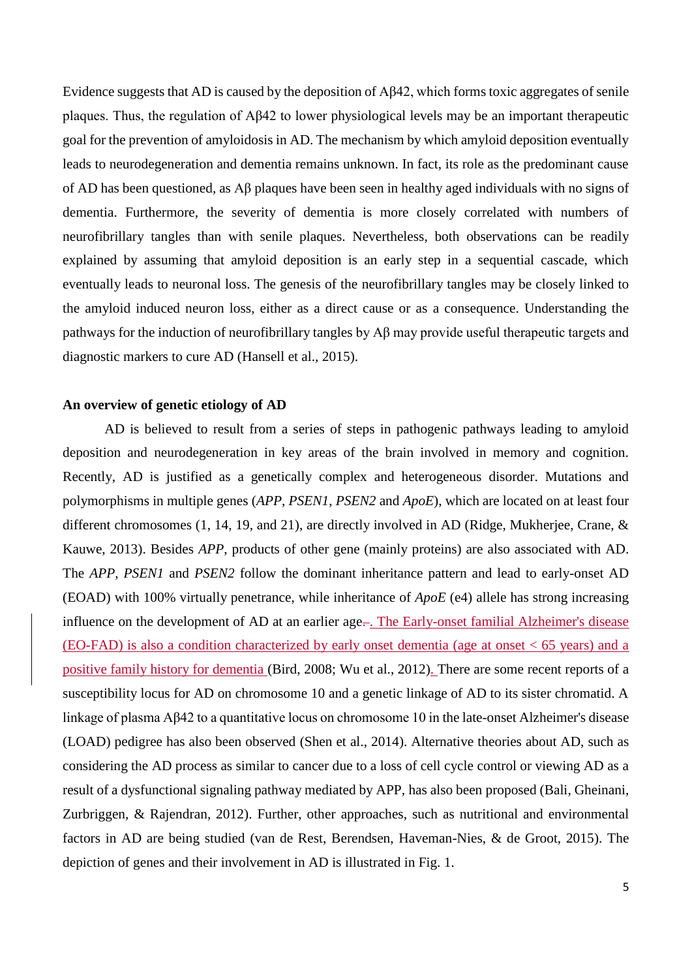Evidence suggests that AD is caused by the deposition of Aβ42, which forms toxic aggregates of senile plaques. Thus, the regulation of Aβ42 to lower physiological levels may be an important therapeutic goal for the prevention of amyloidosis in AD. The mechanism by which amyloid deposition eventually leads to neurodegeneration and dementia remains unknown. In fact, its role as the predominant cause of AD has been questioned, as Aβ plaques have been seen in healthy aged individuals with no signs of dementia. Furthermore, the severity of dementia is more closely correlated with numbers of neurofibrillary tangles than with senile plaques. Nevertheless, both observations can be readily explained by assuming that amyloid deposition is an early step in a sequential cascade, which eventually leads to neuronal loss. The genesis of the neurofibrillary tangles may be closely linked to the amyloid induced neuron loss, either as a direct cause or as a consequence. Understanding the pathways for the induction of neurofibrillary tangles by Aβ may provide useful therapeutic targets and diagnostic markers to cure AD [\(Hansell et al., 2015\)](#page-25-0).

#### **An overview of genetic etiology of AD**

AD is believed to result from a series of steps in pathogenic pathways leading to amyloid deposition and neurodegeneration in key areas of the brain involved in memory and cognition. Recently, AD is justified as a genetically complex and heterogeneous disorder. Mutations and polymorphisms in multiple genes (*APP*, *PSEN1*, *PSEN2* and *ApoE*), which are located on at least four different chromosomes (1, 14, 19, and 21), are directly involved in AD [\(Ridge, Mukherjee, Crane, &](#page-28-0)  [Kauwe, 2013\)](#page-28-0). Besides *APP*, products of other gene (mainly proteins) are also associated with AD. The *APP*, *PSEN1* and *PSEN2* follow the dominant inheritance pattern and lead to early-onset AD (EOAD) with 100% virtually penetrance, while inheritance of *ApoE* (e4) allele has strong increasing influence on the development of AD at an earlier age-. The Early-onset familial Alzheimer's disease (EO-FAD) is also a condition characterized by early onset dementia (age at onset < 65 years) and a positive family history for dementia [\(Bird, 2008;](#page-24-3) [Wu et al., 2012\)](#page-30-0). There are some recent reports of a susceptibility locus for AD on chromosome 10 and a genetic linkage of AD to its sister chromatid. A linkage of plasma Aβ42 to a quantitative locus on chromosome 10 in the late-onset Alzheimer's disease (LOAD) pedigree has also been observed [\(Shen et al., 2014\)](#page-29-0). Alternative theories about AD, such as considering the AD process as similar to cancer due to a loss of cell cycle control or viewing AD as a result of a dysfunctional signaling pathway mediated by APP, has also been proposed [\(Bali, Gheinani,](#page-24-4)  [Zurbriggen, & Rajendran, 2012\)](#page-24-4). Further, other approaches, such as nutritional and environmental factors in AD are being studied [\(van de Rest, Berendsen, Haveman-Nies, & de Groot, 2015\)](#page-29-1). The depiction of genes and their involvement in AD is illustrated in Fig. 1.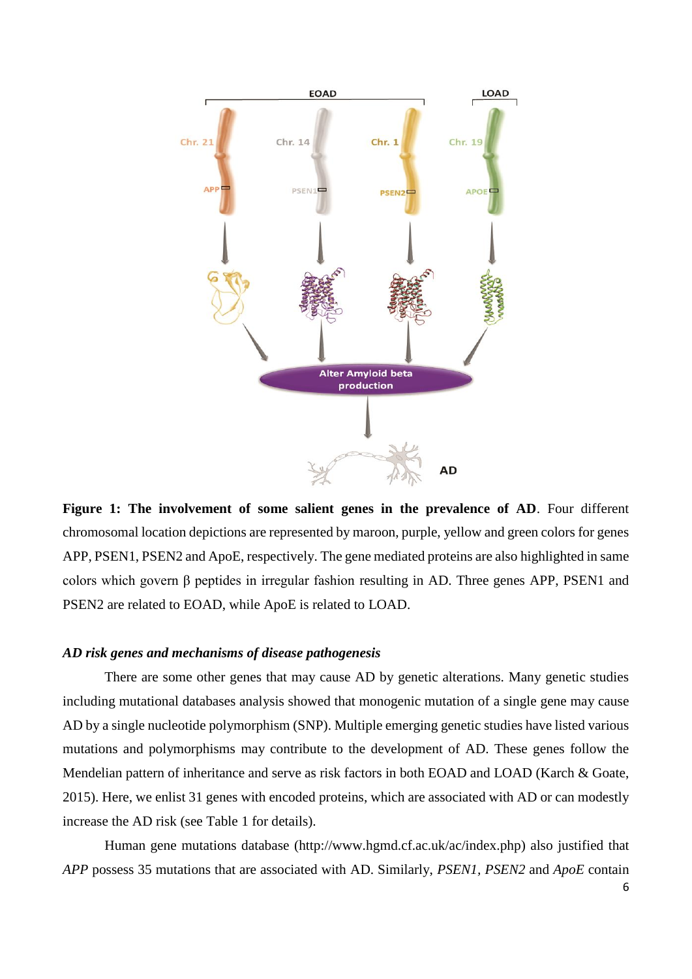

**Figure 1: The involvement of some salient genes in the prevalence of AD**. Four different chromosomal location depictions are represented by maroon, purple, yellow and green colors for genes APP, PSEN1, PSEN2 and ApoE, respectively. The gene mediated proteins are also highlighted in same colors which govern β peptides in irregular fashion resulting in AD. Three genes APP, PSEN1 and PSEN2 are related to EOAD, while ApoE is related to LOAD.

#### *AD risk genes and mechanisms of disease pathogenesis*

There are some other genes that may cause AD by genetic alterations. Many genetic studies including mutational databases analysis showed that monogenic mutation of a single gene may cause AD by a single nucleotide polymorphism (SNP). Multiple emerging genetic studies have listed various mutations and polymorphisms may contribute to the development of AD. These genes follow the Mendelian pattern of inheritance and serve as risk factors in both EOAD and LOAD [\(Karch & Goate,](#page-26-0)  [2015\)](#page-26-0). Here, we enlist 31 genes with encoded proteins, which are associated with AD or can modestly increase the AD risk (see Table 1 for details).

Human gene mutations database [\(http://www.hgmd.cf.ac.uk/ac/index.php\)](http://www.hgmd.cf.ac.uk/ac/index.php) also justified that *APP* possess 35 mutations that are associated with AD. Similarly, *PSEN1, PSEN2* and *ApoE* contain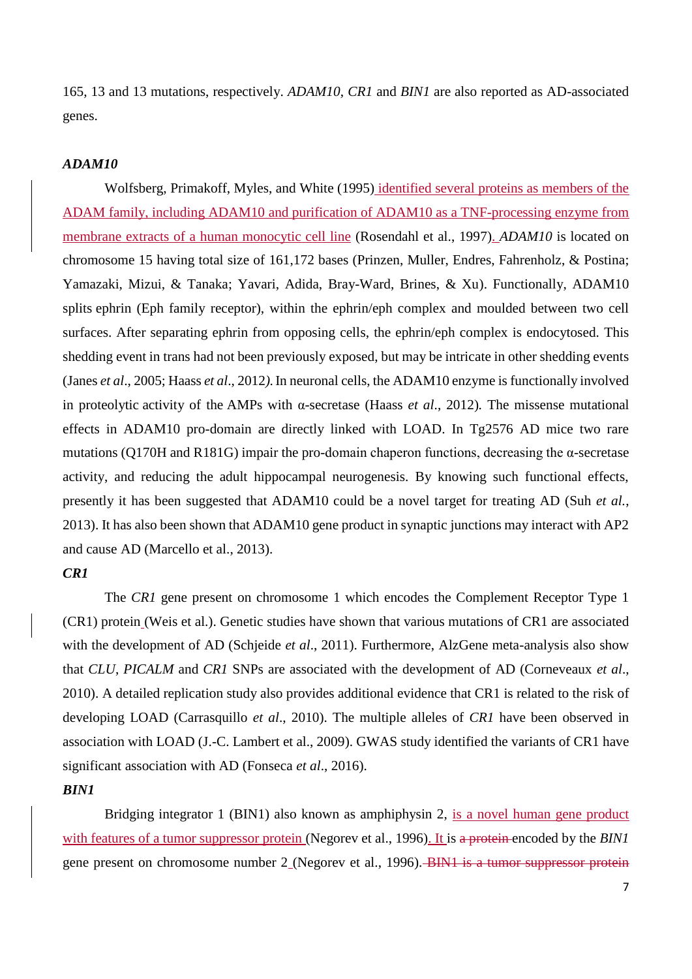165, 13 and 13 mutations, respectively. *ADAM10*, *CR1* and *BIN1* are also reported as AD-associated genes.

# *ADAM10*

[Wolfsberg, Primakoff, Myles, and White \(1995\)](#page-30-1) identified several proteins as members of the ADAM family, including ADAM10 and purification of ADAM10 as a TNF-processing enzyme from membrane extracts of a human monocytic cell line [\(Rosendahl et al., 1997\)](#page-29-2). *ADAM10* is located on chromosome 15 having total size of 161,172 bases [\(Prinzen, Muller, Endres, Fahrenholz, & Postina;](#page-28-1) [Yamazaki, Mizui, & Tanaka;](#page-30-2) [Yavari, Adida, Bray-Ward, Brines, & Xu\)](#page-30-3). Functionally, ADAM10 splits ephrin (Eph family receptor), within the ephrin/eph complex and moulded between two cell surfaces. After separating ephrin from opposing cells, the ephrin/eph complex is endocytosed. This shedding event in trans had not been previously exposed, but may be intricate in other shedding events (Janes *et al*., 2005; Haass *et al*., 2012*).*In neuronal cells, the ADAM10 enzyme is functionally involved in [proteolytic](https://en.wikipedia.org/wiki/Proteolysis) activity of the AMPs with [α-secretase](https://en.wikipedia.org/wiki/Alpha_secretase) (Haass *et al*., 2012)*.* The missense mutational effects in ADAM10 pro-domain are directly linked with LOAD. In Tg2576 AD mice two rare mutations (Q170H and R181G) impair the pro-domain chaperon functions, decreasing the  $\alpha$ -secretase activity, and reducing the adult hippocampal neurogenesis. By knowing such functional effects, presently it has been suggested that ADAM10 could be a novel target for treating AD (Suh *et al.*, 2013). It has also been shown that ADAM10 gene product in synaptic junctions may interact with AP2 and cause AD [\(Marcello et al., 2013\)](#page-27-1).

# *CR1*

The *CR1* gene present on chromosome 1 which encodes the Complement Receptor Type 1 (CR1) protein [\(Weis et al.\)](#page-30-4). Genetic studies have shown that various mutations of CR1 are associated with the development of AD (Schjeide *et al*., 2011). Furthermore, AlzGene meta-analysis also show that *CLU*, *PICALM* and *CR1* SNPs are associated with the development of AD (Corneveaux *et al*., 2010). A detailed replication study also provides additional evidence that CR1 is related to the risk of developing LOAD (Carrasquillo *et al*., 2010). The multiple alleles of *CR1* have been observed in association with LOAD [\(J.-C. Lambert et al., 2009\)](#page-27-2). GWAS study identified the variants of CR1 have significant association with AD (Fonseca *et al*., 2016).

### *BIN1*

Bridging integrator 1 (BIN1) also known as amphiphysin 2, is a novel human gene product with features of a tumor suppressor protein [\(Negorev et al., 1996\)](#page-28-2). It is a protein encoded by the *BIN1* gene present on chromosome number 2 [\(Negorev et al., 1996\)](#page-28-2). BIN1 is a tumor suppressor protein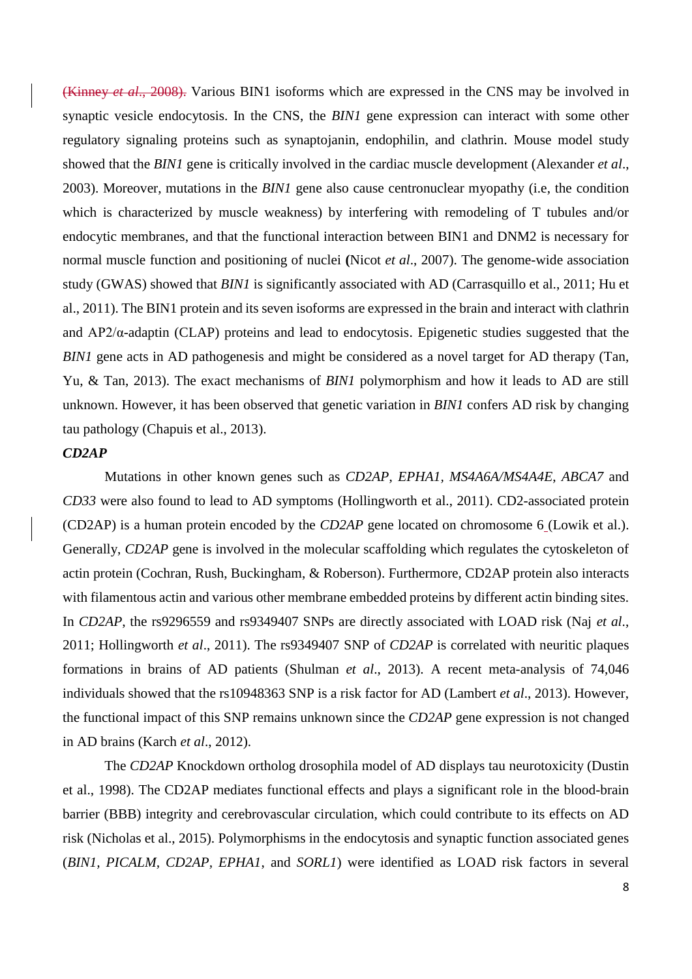(Kinney *et al*., 2008). Various BIN1 isoforms which are expressed in the CNS may be involved in synaptic vesicle endocytosis. In the CNS, the *BIN1* gene expression can interact with some other regulatory signaling proteins such as synaptojanin, endophilin, and clathrin. Mouse model study showed that the *BIN1* gene is critically involved in the cardiac muscle development (Alexander *et al*., 2003). Moreover, mutations in the *BIN1* gene also cause centronuclear myopathy (i.e, the condition which is characterized by muscle weakness) by interfering with remodeling of T tubules and/or endocytic membranes, and that the functional interaction between BIN1 and DNM2 is necessary for normal muscle function and positioning of nuclei **(**Nicot *et al*., 2007). The genome-wide association study (GWAS) showed that *BIN1* is significantly associated with AD [\(Carrasquillo et al., 2011;](#page-24-5) [Hu et](#page-26-1)  [al., 2011\)](#page-26-1). The BIN1 protein and its seven isoforms are expressed in the brain and interact with clathrin and  $AP2/\alpha$ -adaptin (CLAP) proteins and lead to endocytosis. Epigenetic studies suggested that the *BIN1* gene acts in AD pathogenesis and might be considered as a novel target for AD therapy (Tan, [Yu, & Tan, 2013\)](#page-29-3). The exact mechanisms of *BIN1* polymorphism and how it leads to AD are still unknown. However, it has been observed that genetic variation in *BIN1* confers AD risk by changing tau pathology [\(Chapuis et al., 2013\)](#page-24-6).

# *CD2AP*

Mutations in other known genes such as *CD2AP*, *EPHA1, MS4A6A/MS4A4E*, *ABCA7* and *CD33* were also found to lead to AD symptoms [\(Hollingworth et al., 2011\)](#page-26-2). CD2-associated protein (CD2AP) is a human protein encoded by the *CD2AP* gene located on chromosome 6 [\(Lowik et al.\)](#page-27-3). Generally, *CD2AP* gene is involved in the molecular scaffolding which regulates the cytoskeleton of actin protein [\(Cochran, Rush, Buckingham, & Roberson\)](#page-25-1). Furthermore, CD2AP protein also interacts with filamentous actin and various other membrane embedded proteins by different actin binding sites. In *CD2AP*, the rs9296559 and rs9349407 SNPs are directly associated with LOAD risk (Naj *et al*., 2011; Hollingworth *et al*., 2011). The rs9349407 SNP of *CD2AP* is correlated with neuritic plaques formations in brains of AD patients (Shulman *et al*., 2013). A recent meta-analysis of 74,046 individuals showed that the rs10948363 SNP is a risk factor for AD (Lambert *et al*., 2013). However, the functional impact of this SNP remains unknown since the *CD2AP* gene expression is not changed in AD brains (Karch *et al*., 2012).

The *CD2AP* Knockdown ortholog drosophila model of AD displays tau neurotoxicity (Dustin et al., 1998). The CD2AP mediates functional effects and plays a significant role in the blood-brain barrier (BBB) integrity and cerebrovascular circulation, which could contribute to its effects on AD risk (Nicholas et al., 2015). Polymorphisms in the endocytosis and synaptic function associated genes (*BIN1, PICALM, CD2AP, EPHA1*, and *SORL1*) were identified as LOAD risk factors in several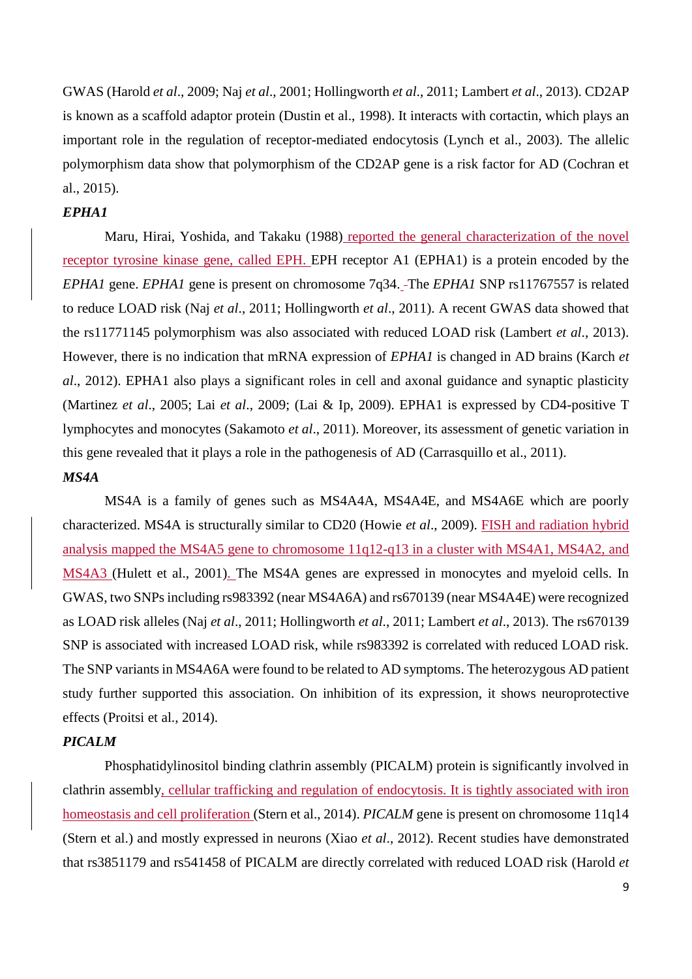GWAS (Harold *et al*., 2009; Naj *et al*., 2001; Hollingworth *et al*., 2011; Lambert *et al*., 2013). CD2AP is known as a scaffold adaptor protein [\(Dustin et al., 1998\)](#page-25-2). It interacts with cortactin, which plays an important role in the regulation of receptor-mediated endocytosis [\(Lynch et al., 2003\)](#page-27-4). The allelic polymorphism data show that polymorphism of the CD2AP gene is a risk factor for AD [\(Cochran et](#page-25-1)  [al., 2015\)](#page-25-1).

### *EPHA1*

[Maru, Hirai, Yoshida, and Takaku \(1988\)](#page-27-5) reported the general characterization of the novel receptor tyrosine kinase gene, called EPH. EPH receptor A1 (EPHA1) is a protein encoded by the *EPHA1* gene. *EPHA1* gene is present on chromosome 7q34. The *EPHA1* SNP rs11767557 is related to reduce LOAD risk (Naj *et al*., 2011; Hollingworth *et al*., 2011). A recent GWAS data showed that the rs11771145 polymorphism was also associated with reduced LOAD risk (Lambert *et al*., 2013). However, there is no indication that mRNA expression of *EPHA1* is changed in AD brains (Karch *et al*., 2012). EPHA1 also plays a significant roles in cell and axonal guidance and synaptic plasticity (Martinez *et al*., 2005; Lai *et al*., 2009; [\(Lai & Ip, 2009\)](#page-27-6). EPHA1 is expressed by CD4-positive T lymphocytes and monocytes (Sakamoto *et al*., 2011). Moreover, its assessment of genetic variation in this gene revealed that it plays a role in the pathogenesis of AD [\(Carrasquillo et al., 2011\)](#page-24-5).

# *MS4A*

MS4A is a family of genes such as MS4A4A, MS4A4E, and MS4A6E which are poorly characterized. MS4A is structurally similar to CD20 (Howie *et al*., 2009). FISH and radiation hybrid analysis mapped the MS4A5 gene to chromosome 11q12-q13 in a cluster with MS4A1, MS4A2, and MS4A3 [\(Hulett et al., 2001\)](#page-26-3). The MS4A genes are expressed in monocytes and myeloid cells. In GWAS, two SNPs including rs983392 (near MS4A6A) and rs670139 (near MS4A4E) were recognized as LOAD risk alleles (Naj *et al*., 2011; Hollingworth *et al*., 2011; Lambert *et al*., 2013). The rs670139 SNP is associated with increased LOAD risk, while rs983392 is correlated with reduced LOAD risk. The SNP variants in MS4A6A were found to be related to AD symptoms. The heterozygous AD patient study further supported this association. On inhibition of its expression, it shows neuroprotective effects [\(Proitsi et al., 2014\)](#page-28-3).

### *PICALM*

Phosphatidylinositol binding clathrin assembly (PICALM) protein is significantly involved in clathrin assembly, cellular trafficking and regulation of endocytosis. It is tightly associated with iron homeostasis and cell proliferation [\(Stern et al., 2014\)](#page-29-4). *PICALM* gene is present on chromosome 11q14 [\(Stern et al.\)](#page-29-4) and mostly expressed in neurons (Xiao *et al*., 2012). Recent studies have demonstrated that rs3851179 and rs541458 of PICALM are directly correlated with reduced LOAD risk (Harold *et*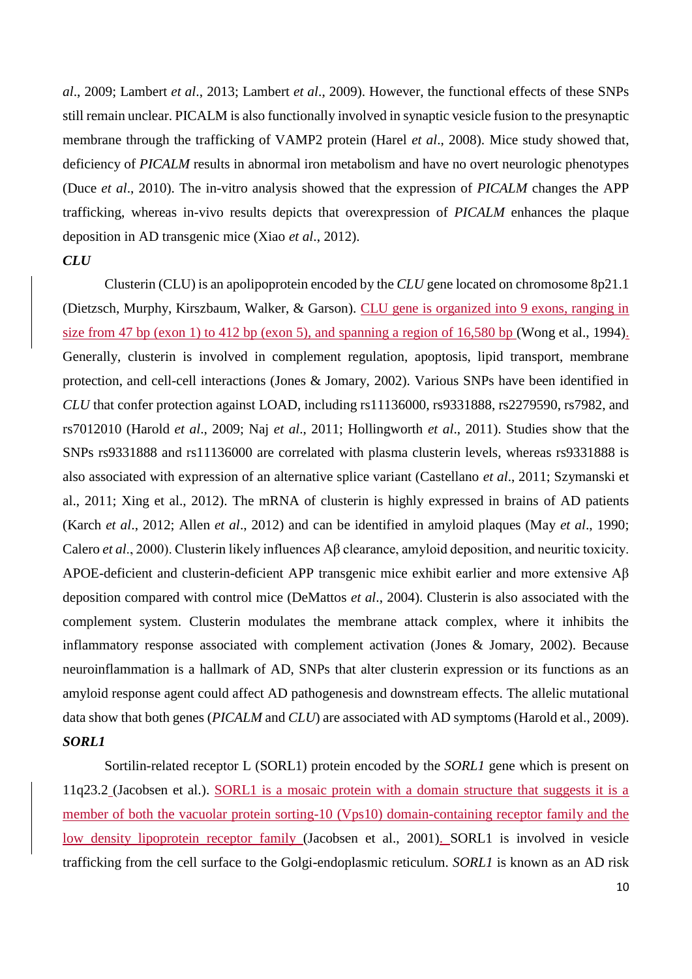*al*., 2009; Lambert *et al*., 2013; Lambert *et al*., 2009). However, the functional effects of these SNPs still remain unclear. PICALM is also functionally involved in synaptic vesicle fusion to the presynaptic membrane through the trafficking of VAMP2 protein (Harel *et al*., 2008). Mice study showed that, deficiency of *PICALM* results in abnormal iron metabolism and have no overt neurologic phenotypes (Duce *et al*., 2010). The in-vitro analysis showed that the expression of *PICALM* changes the APP trafficking, whereas in-vivo results depicts that overexpression of *PICALM* enhances the plaque deposition in AD transgenic mice (Xiao *et al*., 2012).

# *CLU*

Clusterin (CLU) is an apolipoprotein encoded by the *CLU* gene located on chromosome 8p21.1 [\(Dietzsch, Murphy, Kirszbaum, Walker, & Garson\)](#page-25-3). CLU gene is organized into 9 exons, ranging in size from 47 bp (exon 1) to 412 bp (exon 5), and spanning a region of 16,580 bp [\(Wong et al., 1994\)](#page-30-5). Generally, clusterin is involved in complement regulation, apoptosis, lipid transport, membrane protection, and cell-cell interactions (Jones & Jomary, 2002). Various SNPs have been identified in *CLU* that confer protection against LOAD, including rs11136000, rs9331888, rs2279590, rs7982, and rs7012010 (Harold *et al*., 2009; Naj *et al*., 2011; Hollingworth *et al*., 2011). Studies show that the SNPs rs9331888 and rs11136000 are correlated with plasma clusterin levels, whereas rs9331888 is also associated with expression of an alternative splice variant (Castellano *et al*., 2011; Szymanski et al., 2011; Xing et al., 2012). The mRNA of clusterin is highly expressed in brains of AD patients (Karch *et al*., 2012; Allen *et al*., 2012) and can be identified in amyloid plaques (May *et al*., 1990; Calero *et al*., 2000). Clusterin likely influences Aβ clearance, amyloid deposition, and neuritic toxicity. APOE-deficient and clusterin-deficient APP transgenic mice exhibit earlier and more extensive Aβ deposition compared with control mice (DeMattos *et al*., 2004). Clusterin is also associated with the complement system. Clusterin modulates the membrane attack complex, where it inhibits the inflammatory response associated with complement activation (Jones & Jomary, 2002). Because neuroinflammation is a hallmark of AD, SNPs that alter clusterin expression or its functions as an amyloid response agent could affect AD pathogenesis and downstream effects. The allelic mutational data show that both genes (*PICALM* and *CLU*) are associated with AD symptoms [\(Harold et al., 2009\)](#page-25-4). *SORL1*

Sortilin-related receptor L (SORL1) protein encoded by the *SORL1* gene which is present on 11q23.2 (Jacobsen et al.). SORL1 is a mosaic protein with a domain structure that suggests it is a member of both the vacuolar protein sorting-10 (Vps10) domain-containing receptor family and the low density lipoprotein receptor family [\(Jacobsen et al., 2001\)](#page-26-4). SORL1 is involved in vesicle trafficking from the cell surface to the Golgi-endoplasmic reticulum. *SORL1* is known as an AD risk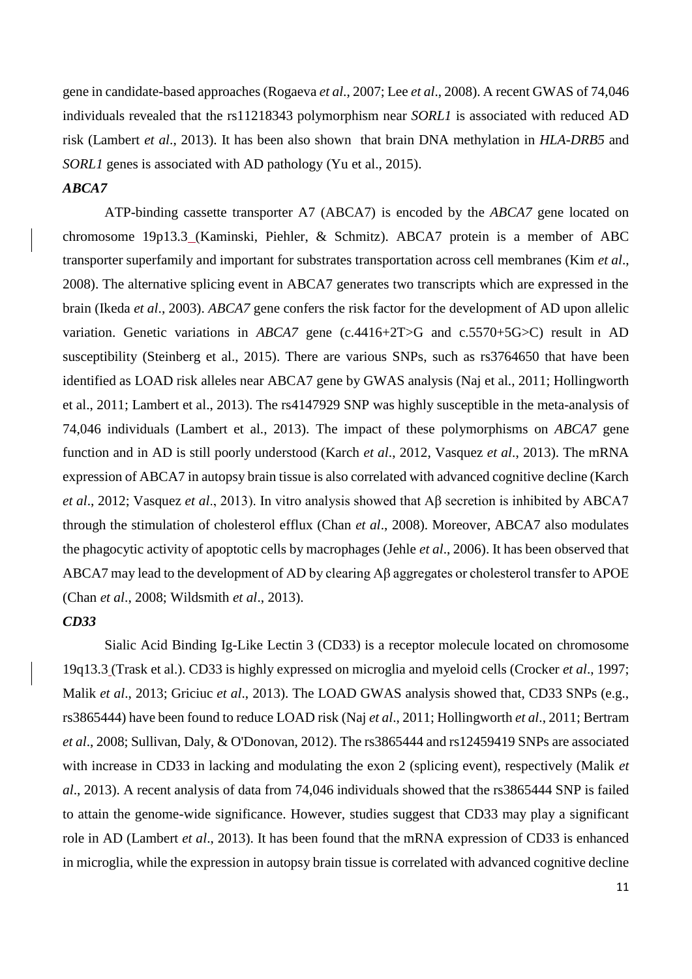gene in candidate-based approaches (Rogaeva *et al*., 2007; Lee *et al*., 2008). A recent GWAS of 74,046 individuals revealed that the rs11218343 polymorphism near *SORL1* is associated with reduced AD risk (Lambert *et al*., 2013). It has been also shown that brain DNA methylation in *HLA-DRB5* and *SORL1* genes is associated with AD pathology [\(Yu et al., 2015\)](#page-30-6).

# *ABCA7*

ATP-binding cassette transporter A7 (ABCA7) is encoded by the *ABCA7* gene located on chromosome 19p13.3 [\(Kaminski, Piehler, & Schmitz\)](#page-26-5). ABCA7 protein is a member of ABC transporter superfamily and important for substrates transportation across cell membranes (Kim *et al*., 2008). The alternative splicing event in ABCA7 generates two transcripts which are expressed in the brain (Ikeda *et al*., 2003). *ABCA7* gene confers the risk factor for the development of AD upon allelic variation. Genetic variations in *ABCA7* gene (c.4416+2T>G and c.5570+5G>C) result in AD susceptibility [\(Steinberg et al., 2015\)](#page-29-5). There are various SNPs, such as rs3764650 that have been identified as LOAD risk alleles near ABCA7 gene by GWAS analysis (Naj et al., 2011; Hollingworth et al., 2011; Lambert et al., 2013). The rs4147929 SNP was highly susceptible in the meta-analysis of 74,046 individuals (Lambert et al., 2013). The impact of these polymorphisms on *ABCA7* gene function and in AD is still poorly understood (Karch *et al*., 2012, Vasquez *et al*., 2013). The mRNA expression of ABCA7 in autopsy brain tissue is also correlated with advanced cognitive decline (Karch *et al*., 2012; Vasquez *et al*., 2013). In vitro analysis showed that Aβ secretion is inhibited by ABCA7 through the stimulation of cholesterol efflux (Chan *et al*., 2008). Moreover, ABCA7 also modulates the phagocytic activity of apoptotic cells by macrophages (Jehle *et al*., 2006). It has been observed that ABCA7 may lead to the development of AD by clearing Aβ aggregates or cholesterol transfer to APOE (Chan *et al*., 2008; Wildsmith *et al*., 2013).

# *CD33*

Sialic Acid Binding Ig-Like Lectin 3 (CD33) is a receptor molecule located on chromosome 19q13.3 [\(Trask et al.\)](#page-29-6). CD33 is highly expressed on microglia and myeloid cells (Crocker *et al*., 1997; Malik *et al*., 2013; Griciuc *et al*., 2013). The LOAD GWAS analysis showed that, CD33 SNPs (e.g., rs3865444) have been found to reduce LOAD risk (Naj *et al*., 2011; Hollingworth *et al*., 2011; Bertram *et al*., 2008; Sullivan, Daly, & O'Donovan, 2012). The rs3865444 and rs12459419 SNPs are associated with increase in CD33 in lacking and modulating the exon 2 (splicing event), respectively (Malik *et al*., 2013). A recent analysis of data from 74,046 individuals showed that the rs3865444 SNP is failed to attain the genome-wide significance. However, studies suggest that CD33 may play a significant role in AD (Lambert *et al*., 2013). It has been found that the mRNA expression of CD33 is enhanced in microglia, while the expression in autopsy brain tissue is correlated with advanced cognitive decline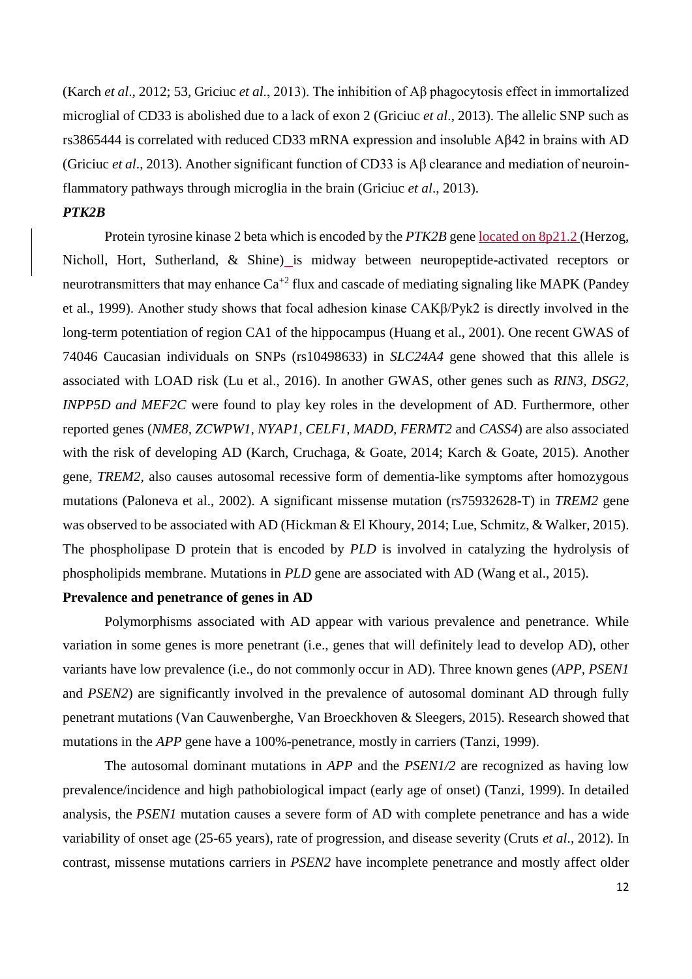(Karch *et al*., 2012; 53, Griciuc *et al*., 2013). The inhibition of Aβ phagocytosis effect in immortalized microglial of CD33 is abolished due to a lack of exon 2 (Griciuc *et al*., 2013). The allelic SNP such as rs3865444 is correlated with reduced CD33 mRNA expression and insoluble Aβ42 in brains with AD (Griciuc *et al*., 2013). Another significant function of CD33 is Aβ clearance and mediation of neuroinflammatory pathways through microglia in the brain (Griciuc *et al*., 2013).

## *PTK2B*

Protein tyrosine kinase 2 beta which is encoded by the *PTK2B* gene located on 8p21.2 [\(Herzog,](#page-26-6)  [Nicholl, Hort, Sutherland, & Shine\)](#page-26-6) is midway between neuropeptide-activated receptors or neurotransmitters that may enhance  $Ca^{+2}$  flux and cascade of mediating signaling like MAPK (Pandey [et al., 1999\)](#page-28-4). Another study shows that focal adhesion kinase CAKβ/Pyk2 is directly involved in the long-term potentiation of region CA1 of the hippocampus [\(Huang et al., 2001\)](#page-26-7). One recent GWAS of 74046 Caucasian individuals on SNPs (rs10498633) in *SLC24A4* gene showed that this allele is associated with LOAD risk [\(Lu et al., 2016\)](#page-27-7). In another GWAS, other genes such as *RIN3, DSG2, INPP5D and MEF2C* were found to play key roles in the development of AD. Furthermore, other reported genes (*NME8, ZCWPW1, NYAP1, CELF1, MADD, FERMT2* and *CASS4*) are also associated with the risk of developing AD (Karch, [Cruchaga, & Goate, 2014;](#page-26-8) [Karch & Goate, 2015\)](#page-26-0). Another gene, *TREM2,* also causes autosomal recessive form of dementia-like symptoms after homozygous mutations [\(Paloneva et al., 2002\)](#page-28-5). A significant missense mutation (rs75932628-T) in *TREM2* gene was observed to be associated with AD [\(Hickman & El Khoury, 2014;](#page-26-9) [Lue, Schmitz, & Walker, 2015\)](#page-27-8). The phospholipase D protein that is encoded by *PLD* is involved in catalyzing the hydrolysis of phospholipids membrane. Mutations in *PLD* gene are associated with AD [\(Wang et al., 2015\)](#page-30-7).

#### **Prevalence and penetrance of genes in AD**

Polymorphisms associated with AD appear with various prevalence and penetrance. While variation in some genes is more penetrant (i.e., genes that will definitely lead to develop AD), other variants have low prevalence (i.e., do not commonly occur in AD). Three known genes (*APP, PSEN1* and *PSEN2*) are significantly involved in the prevalence of autosomal dominant AD through fully penetrant mutations (Van Cauwenberghe, Van Broeckhoven & Sleegers, 2015). Research showed that mutations in the *APP* gene have a 100%-penetrance, mostly in carriers (Tanzi, 1999).

The autosomal dominant mutations in *APP* and the *PSEN1/2* are recognized as having low prevalence/incidence and high pathobiological impact (early age of onset) (Tanzi, 1999). In detailed analysis, the *PSEN1* mutation causes a severe form of AD with complete penetrance and has a wide variability of onset age (25-65 years), rate of progression, and disease severity (Cruts *et al*., 2012). In contrast, missense mutations carriers in *PSEN2* have incomplete penetrance and mostly affect older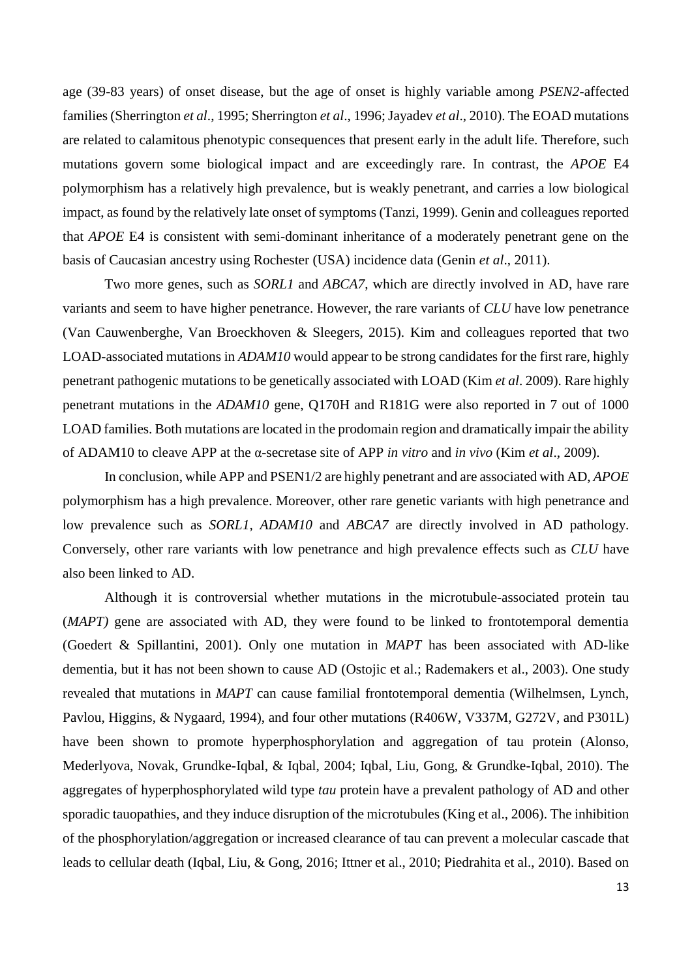age (39-83 years) of onset disease, but the age of onset is highly variable among *PSEN2*-affected families (Sherrington *et al*., 1995; Sherrington *et al*., 1996; Jayadev *et al*., 2010). The EOAD mutations are related to calamitous phenotypic consequences that present early in the adult life. Therefore, such mutations govern some biological impact and are exceedingly rare. In contrast, the *APOE* E4 polymorphism has a relatively high prevalence, but is weakly penetrant, and carries a low biological impact, as found by the relatively late onset of symptoms (Tanzi, 1999). Genin and colleagues reported that *APOE* E4 is consistent with semi-dominant inheritance of a moderately penetrant gene on the basis of Caucasian ancestry using Rochester (USA) incidence data (Genin *et al*., 2011).

Two more genes, such as *SORL1* and *ABCA7*, which are directly involved in AD, have rare variants and seem to have higher penetrance. However, the rare variants of *CLU* have low penetrance (Van Cauwenberghe, Van Broeckhoven & Sleegers, 2015). Kim and colleagues reported that two LOAD-associated mutations in *ADAM10* would appear to be strong candidates for the first rare, highly penetrant pathogenic mutations to be genetically associated with LOAD (Kim *et al*. 2009). Rare highly penetrant mutations in the *ADAM10* gene, Q170H and R181G were also reported in 7 out of 1000 LOAD families. Both mutations are located in the prodomain region and dramatically impair the ability of ADAM10 to cleave APP at the α-secretase site of APP *in vitro* and *in vivo* (Kim *et al*., 2009).

In conclusion, while APP and PSEN1/2 are highly penetrant and are associated with AD, *APOE* polymorphism has a high prevalence. Moreover, other rare genetic variants with high penetrance and low prevalence such as *SORL1, ADAM10* and *ABCA7* are directly involved in AD pathology. Conversely, other rare variants with low penetrance and high prevalence effects such as *CLU* have also been linked to AD.

Although it is controversial whether mutations in the microtubule-associated protein tau (*MAPT)* gene are associated with AD, they were found to be linked to frontotemporal dementia [\(Goedert & Spillantini, 2001\)](#page-25-5). Only one mutation in *MAPT* has been associated with AD-like dementia, but it has not been shown to cause AD [\(Ostojic et al.;](#page-28-6) [Rademakers et al., 2003\)](#page-28-7). One study revealed that mutations in *MAPT* can cause familial frontotemporal dementia [\(Wilhelmsen, Lynch,](#page-30-8)  [Pavlou, Higgins, & Nygaard, 1994\)](#page-30-8), and four other mutations (R406W, V337M, G272V, and P301L) have been shown to promote hyperphosphorylation and aggregation of tau protein [\(Alonso,](#page-24-7)  [Mederlyova, Novak, Grundke-Iqbal, & Iqbal, 2004;](#page-24-7) [Iqbal, Liu, Gong, & Grundke-Iqbal, 2010\)](#page-26-10). The aggregates of hyperphosphorylated wild type *tau* protein have a prevalent pathology of AD and other sporadic tauopathies, and they induce disruption of the microtubules [\(King et al., 2006\)](#page-27-9). The inhibition of the phosphorylation/aggregation or increased clearance of tau can prevent a molecular cascade that leads to cellular death [\(Iqbal, Liu, & Gong, 2016;](#page-26-11) [Ittner et al., 2010;](#page-26-12) [Piedrahita et al., 2010\)](#page-28-8). Based on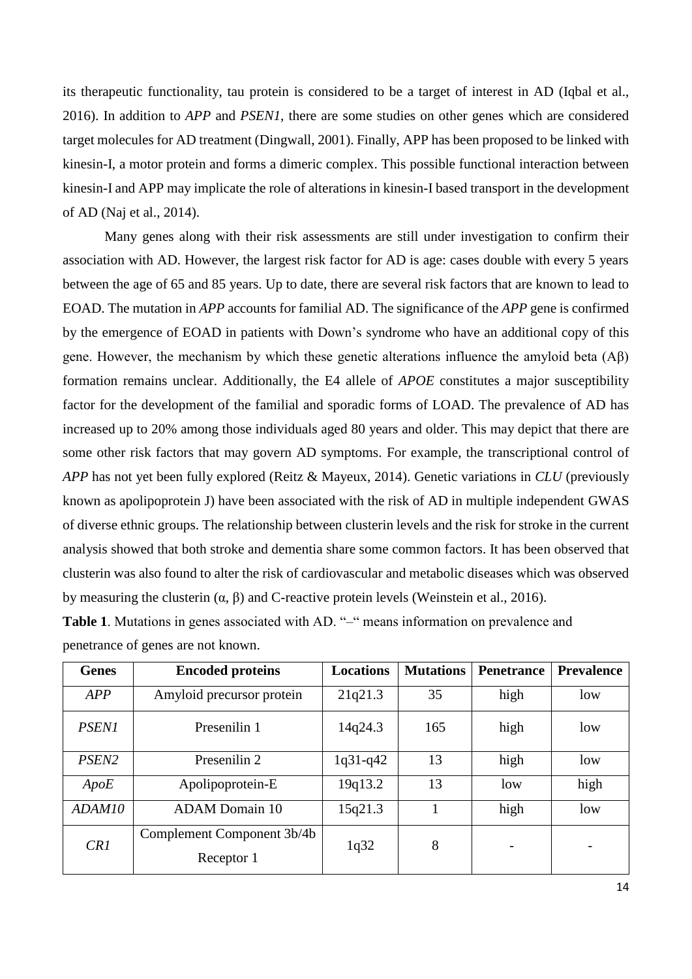its therapeutic functionality, tau protein is considered to be a target of interest in AD [\(Iqbal et al.,](#page-26-11)  [2016\)](#page-26-11). In addition to *APP* and *PSEN1*, there are some studies on other genes which are considered target molecules for AD treatment [\(Dingwall, 2001\)](#page-25-6). Finally, APP has been proposed to be linked with kinesin-I, a motor protein and forms a dimeric complex. This possible functional interaction between kinesin-I and APP may implicate the role of alterations in kinesin-I based transport in the development of AD [\(Naj et al., 2014\)](#page-28-9).

Many genes along with their risk assessments are still under investigation to confirm their association with AD. However, the largest risk factor for AD is age: cases double with every 5 years between the age of 65 and 85 years. Up to date, there are several risk factors that are known to lead to EOAD. The mutation in *APP* accounts for familial AD. The significance of the *APP* gene is confirmed by the emergence of EOAD in patients with Down's syndrome who have an additional copy of this gene. However, the mechanism by which these genetic alterations influence the amyloid beta (Aβ) formation remains unclear. Additionally, the E4 allele of *APOE* constitutes a major susceptibility factor for the development of the familial and sporadic forms of LOAD. The prevalence of AD has increased up to 20% among those individuals aged 80 years and older. This may depict that there are some other risk factors that may govern AD symptoms. For example, the transcriptional control of *APP* has not yet been fully explored [\(Reitz & Mayeux, 2014\)](#page-28-10). Genetic variations in *CLU* (previously known as apolipoprotein J) have been associated with the risk of AD in multiple independent GWAS of diverse ethnic groups. The relationship between clusterin levels and the risk for stroke in the current analysis showed that both stroke and dementia share some common factors. It has been observed that clusterin was also found to alter the risk of cardiovascular and metabolic diseases which was observed by measuring the clusterin  $(\alpha, \beta)$  and C-reactive protein levels [\(Weinstein et al., 2016\)](#page-30-9).

| <b>Genes</b>      | <b>Encoded proteins</b>                  | <b>Locations</b> | <b>Mutations</b> | <b>Penetrance</b> | <b>Prevalence</b> |
|-------------------|------------------------------------------|------------------|------------------|-------------------|-------------------|
| APP               | Amyloid precursor protein                | 21q21.3          | 35               | high              | low               |
| <b>PSEN1</b>      | Presenilin 1                             | 14q24.3          | 165              | high              | low               |
| PSEN <sub>2</sub> | Presenilin 2                             | $1q31-q42$       | 13               | high              | low               |
| ApoE              | Apolipoprotein-E                         | 19q13.2          | 13               | low               | high              |
| ADAM10            | <b>ADAM</b> Domain 10                    | 15q21.3          |                  | high              | low               |
| CR1               | Complement Component 3b/4b<br>Receptor 1 | 1q32             | 8                | -                 | -                 |

**Table 1**. Mutations in genes associated with AD. "–" means information on prevalence and penetrance of genes are not known.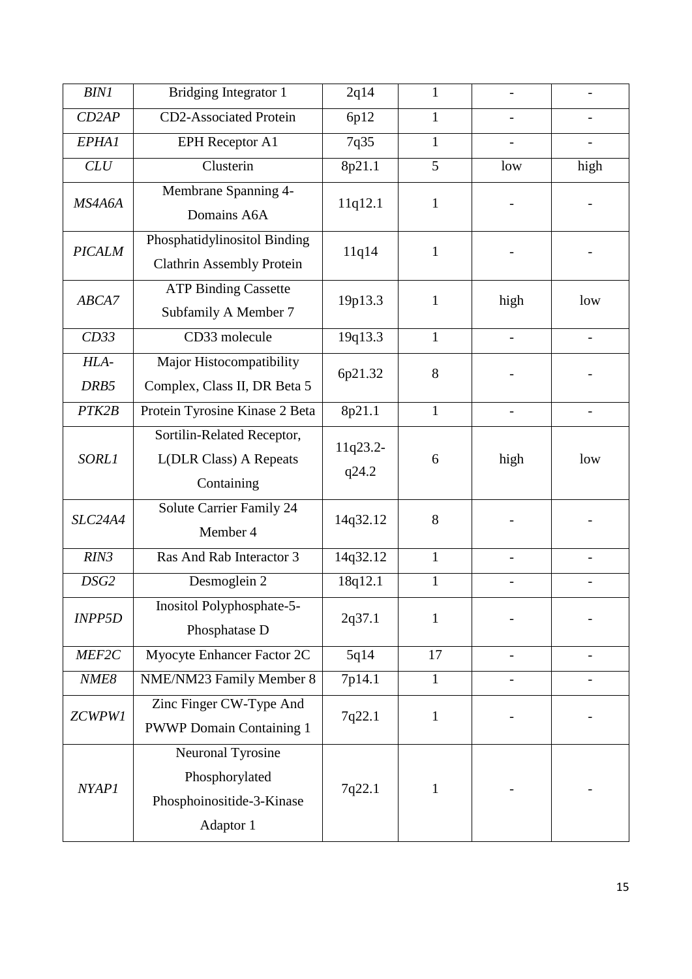| <b>BIN1</b>   | Bridging Integrator 1                                                         | 2q14              | 1            |                |      |
|---------------|-------------------------------------------------------------------------------|-------------------|--------------|----------------|------|
| CD2AP         | <b>CD2-Associated Protein</b>                                                 | 6p12              | $\mathbf{1}$ |                |      |
| EPHA1         | <b>EPH</b> Receptor A1                                                        | 7q35              | $\mathbf{1}$ |                |      |
| CLU           | Clusterin                                                                     | 8p21.1            | 5            | low            | high |
| MS4A6A        | Membrane Spanning 4-<br>Domains A6A                                           | 11q12.1           | 1            |                |      |
| <b>PICALM</b> | Phosphatidylinositol Binding<br><b>Clathrin Assembly Protein</b>              | 11q14             | 1            |                |      |
| ABCA7         | <b>ATP Binding Cassette</b><br>Subfamily A Member 7                           | 19p13.3           | 1            | high           | low  |
| CD33          | CD33 molecule                                                                 | 19q13.3           | $\mathbf{1}$ | $\overline{a}$ |      |
| HLA-<br>DRB5  | Major Histocompatibility<br>Complex, Class II, DR Beta 5                      | 6p21.32           | 8            |                |      |
| PTK2B         | Protein Tyrosine Kinase 2 Beta                                                | 8p21.1            | $\mathbf{1}$ |                |      |
| <b>SORL1</b>  | Sortilin-Related Receptor,<br><b>L(DLR Class)</b> A Repeats<br>Containing     | 11q23.2-<br>q24.2 | 6            | high           | low  |
| SLC24A4       | Solute Carrier Family 24<br>Member 4                                          | 14q32.12          | 8            |                |      |
| RIN3          | Ras And Rab Interactor 3                                                      | 14q32.12          | $\mathbf{1}$ |                |      |
| DSG2          | Desmoglein 2                                                                  | 18q12.1           | $\mathbf{1}$ |                |      |
| <b>INPP5D</b> | Inositol Polyphosphate-5-<br>Phosphatase D                                    | 2q37.1            | 1            |                |      |
| MEF2C         | Myocyte Enhancer Factor 2C                                                    | 5q14              | 17           |                |      |
| NME8          | NME/NM23 Family Member 8                                                      | 7p14.1            | $\mathbf{1}$ |                |      |
| ZCWPW1        | Zinc Finger CW-Type And<br><b>PWWP Domain Containing 1</b>                    | 7q22.1            | $\mathbf 1$  |                |      |
| <b>NYAP1</b>  | Neuronal Tyrosine<br>Phosphorylated<br>Phosphoinositide-3-Kinase<br>Adaptor 1 | 7q22.1            | 1            |                |      |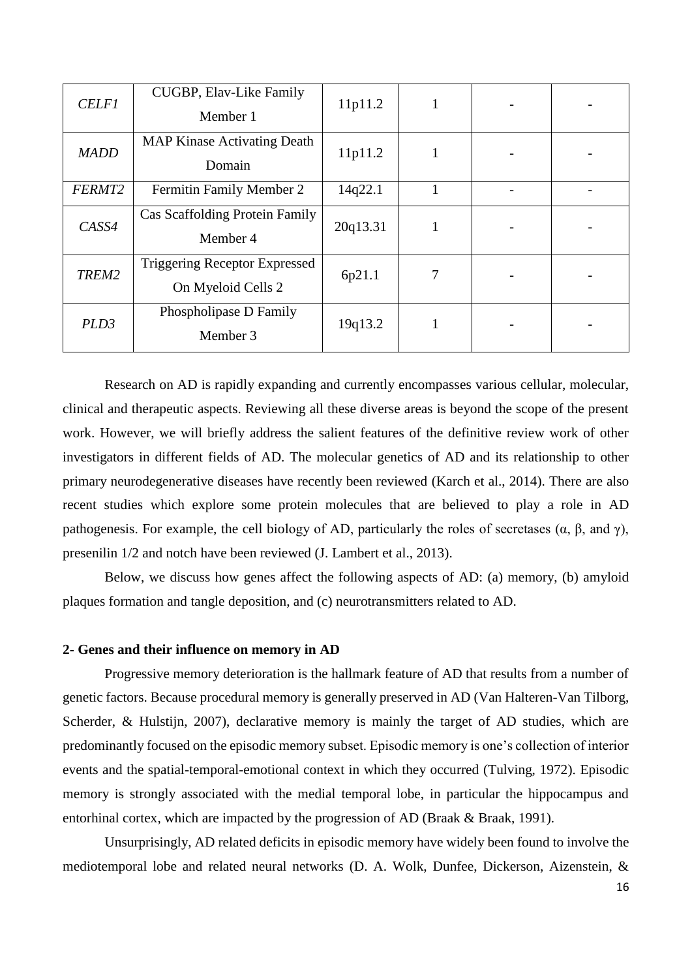| <b>CELF1</b>     | CUGBP, Elav-Like Family<br>Member 1                        | 11p11.2  | 1 |  |
|------------------|------------------------------------------------------------|----------|---|--|
| <b>MADD</b>      | <b>MAP Kinase Activating Death</b><br>Domain               | 11p11.2  | 1 |  |
| FERMT2           | Fermitin Family Member 2                                   | 14q22.1  |   |  |
| CASS4            | Cas Scaffolding Protein Family<br>Member 4                 | 20q13.31 | 1 |  |
| TREM2            | <b>Triggering Receptor Expressed</b><br>On Myeloid Cells 2 | 6p21.1   | 7 |  |
| PLD <sub>3</sub> | Phospholipase D Family<br>Member 3                         | 19q13.2  | 1 |  |

Research on AD is rapidly expanding and currently encompasses various cellular, molecular, clinical and therapeutic aspects. Reviewing all these diverse areas is beyond the scope of the present work. However, we will briefly address the salient features of the definitive review work of other investigators in different fields of AD. The molecular genetics of AD and its relationship to other primary neurodegenerative diseases have recently been reviewed [\(Karch et al., 2014\)](#page-26-8). There are also recent studies which explore some protein molecules that are believed to play a role in AD pathogenesis. For example, the cell biology of AD, particularly the roles of secretases  $(\alpha, \beta, \text{ and } \gamma)$ , presenilin 1/2 and notch have been reviewed [\(J. Lambert et al., 2013\)](#page-27-10).

Below, we discuss how genes affect the following aspects of AD: (a) memory, (b) amyloid plaques formation and tangle deposition, and (c) neurotransmitters related to AD.

#### **2- Genes and their influence on memory in AD**

Progressive memory deterioration is the hallmark feature of AD that results from a number of genetic factors. Because procedural memory is generally preserved in AD [\(Van Halteren-Van Tilborg,](#page-29-7)  [Scherder, & Hulstijn, 2007\)](#page-29-7), declarative memory is mainly the target of AD studies, which are predominantly focused on the episodic memory subset. Episodic memory is one's collection of interior events and the spatial-temporal-emotional context in which they occurred [\(Tulving, 1972\)](#page-29-8). Episodic memory is strongly associated with the medial temporal lobe, in particular the hippocampus and entorhinal cortex, which are impacted by the progression of AD [\(Braak & Braak, 1991\)](#page-24-8).

Unsurprisingly, AD related deficits in episodic memory have widely been found to involve the mediotemporal lobe and related neural networks [\(D. A. Wolk, Dunfee, Dickerson, Aizenstein, &](#page-30-10)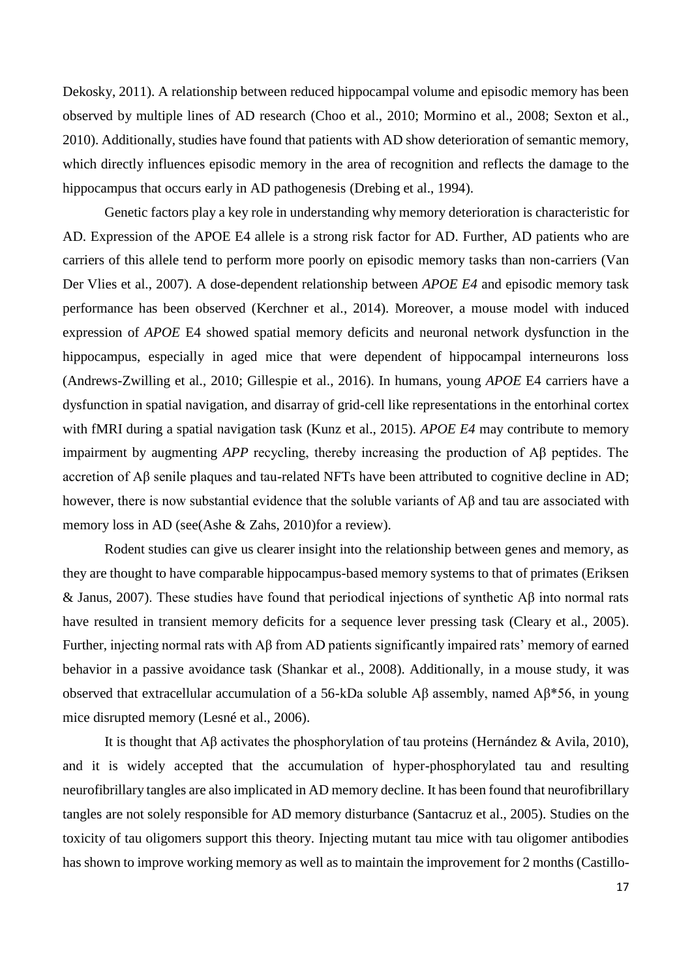[Dekosky, 2011\)](#page-30-10). A relationship between reduced hippocampal volume and episodic memory has been observed by multiple lines of AD research [\(Choo et al., 2010;](#page-24-9) [Mormino et al., 2008;](#page-28-11) [Sexton et al.,](#page-29-9)  [2010\)](#page-29-9). Additionally, studies have found that patients with AD show deterioration of semantic memory, which directly influences episodic memory in the area of recognition and reflects the damage to the hippocampus that occurs early in AD pathogenesis [\(Drebing et al., 1994\)](#page-25-7).

Genetic factors play a key role in understanding why memory deterioration is characteristic for AD. Expression of the APOE E4 allele is a strong risk factor for AD. Further, AD patients who are carriers of this allele tend to perform more poorly on episodic memory tasks than non-carriers [\(Van](#page-29-10)  [Der Vlies et al., 2007\)](#page-29-10). A dose-dependent relationship between *APOE E4* and episodic memory task performance has been observed [\(Kerchner et al., 2014\)](#page-27-11). Moreover, a mouse model with induced expression of *APOE* E4 showed spatial memory deficits and neuronal network dysfunction in the hippocampus, especially in aged mice that were dependent of hippocampal interneurons loss [\(Andrews-Zwilling et al., 2010;](#page-24-10) [Gillespie et al., 2016\)](#page-25-8). In humans, young *APOE* E4 carriers have a dysfunction in spatial navigation, and disarray of grid-cell like representations in the entorhinal cortex with fMRI during a spatial navigation task [\(Kunz et al., 2015\)](#page-27-12). *APOE E4* may contribute to memory impairment by augmenting *APP* recycling, thereby increasing the production of Aβ peptides. The accretion of Aβ senile plaques and tau-related NFTs have been attributed to cognitive decline in AD; however, there is now substantial evidence that the soluble variants of Aβ and tau are associated with memory loss in AD (see[\(Ashe & Zahs, 2010\)](#page-24-11)for a review).

Rodent studies can give us clearer insight into the relationship between genes and memory, as they are thought to have comparable hippocampus-based memory systems to that of primates [\(Eriksen](#page-25-9)  [& Janus, 2007\)](#page-25-9). These studies have found that periodical injections of synthetic Aβ into normal rats have resulted in transient memory deficits for a sequence lever pressing task [\(Cleary et al., 2005\)](#page-24-12). Further, injecting normal rats with Aβ from AD patients significantly impaired rats' memory of earned behavior in a passive avoidance task [\(Shankar et al., 2008\)](#page-29-11). Additionally, in a mouse study, it was observed that extracellular accumulation of a 56-kDa soluble Aβ assembly, named Aβ\*56, in young mice disrupted memory [\(Lesné et al., 2006\)](#page-27-13).

It is thought that Aβ activates the phosphorylation of tau proteins [\(Hernández & Avila, 2010\)](#page-26-13), and it is widely accepted that the accumulation of hyper-phosphorylated tau and resulting neurofibrillary tangles are also implicated in AD memory decline. It has been found that neurofibrillary tangles are not solely responsible for AD memory disturbance [\(Santacruz et al., 2005\)](#page-29-12). Studies on the toxicity of tau oligomers support this theory. Injecting mutant tau mice with tau oligomer antibodies has shown to improve working memory as well as to maintain the improvement for 2 months [\(Castillo-](#page-24-13)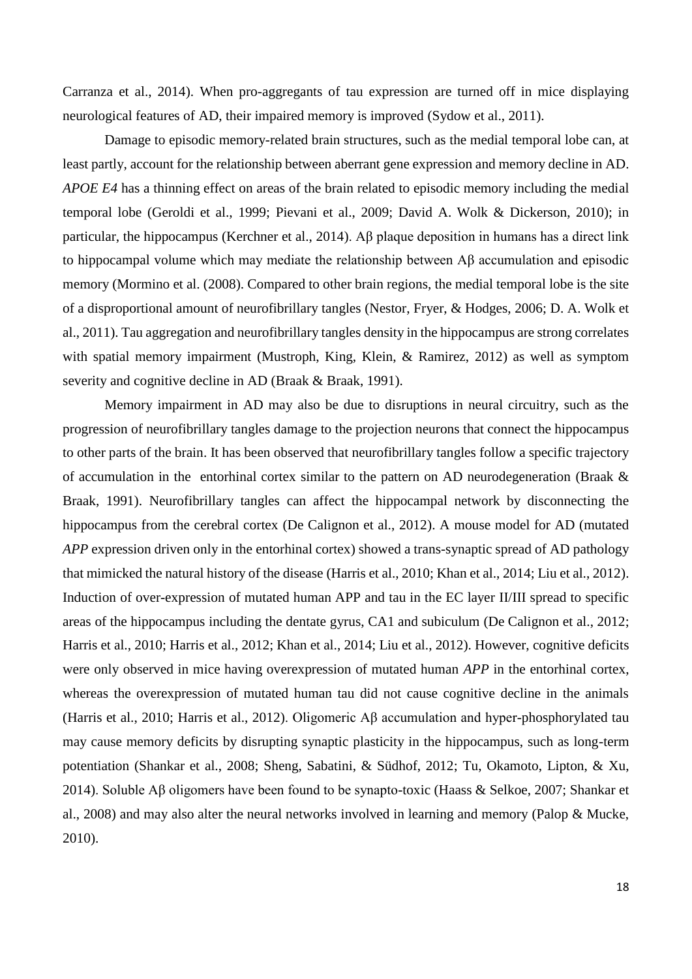[Carranza et al., 2014\)](#page-24-13). When pro-aggregants of tau expression are turned off in mice displaying neurological features of AD, their impaired memory is improved [\(Sydow et al., 2011\)](#page-29-13).

Damage to episodic memory-related brain structures, such as the medial temporal lobe can, at least partly, account for the relationship between aberrant gene expression and memory decline in AD. *APOE E4* has a thinning effect on areas of the brain related to episodic memory including the medial temporal lobe [\(Geroldi et al., 1999;](#page-25-10) [Pievani et al., 2009;](#page-28-12) [David A. Wolk & Dickerson, 2010\)](#page-30-11); in particular, the hippocampus [\(Kerchner et al., 2014\)](#page-27-11). Aβ plaque deposition in humans has a direct link to hippocampal volume which may mediate the relationship between Aβ accumulation and episodic memory [\(Mormino et al. \(2008\).](#page-28-11) Compared to other brain regions, the medial temporal lobe is the site of a disproportional amount of neurofibrillary tangles [\(Nestor, Fryer, & Hodges, 2006;](#page-28-13) [D. A. Wolk et](#page-30-10)  [al., 2011\)](#page-30-10). Tau aggregation and neurofibrillary tangles density in the hippocampus are strong correlates with spatial memory impairment [\(Mustroph, King, Klein, & Ramirez, 2012\)](#page-28-14) as well as symptom severity and cognitive decline in AD [\(Braak & Braak, 1991\)](#page-24-8).

Memory impairment in AD may also be due to disruptions in neural circuitry, such as the progression of neurofibrillary tangles damage to the projection neurons that connect the hippocampus to other parts of the brain. It has been observed that neurofibrillary tangles follow a specific trajectory of accumulation in the entorhinal cortex similar to the pattern on AD neurodegeneration [\(Braak &](#page-24-8)  [Braak, 1991\)](#page-24-8). Neurofibrillary tangles can affect the hippocampal network by disconnecting the hippocampus from the cerebral cortex [\(De Calignon et al., 2012\)](#page-25-11). A mouse model for AD (mutated *APP* expression driven only in the entorhinal cortex) showed a trans-synaptic spread of AD pathology that mimicked the natural history of the disease [\(Harris et al., 2010;](#page-26-14) [Khan et al., 2014;](#page-27-14) [Liu et al., 2012\)](#page-27-15). Induction of over-expression of mutated human APP and tau in the EC layer II/III spread to specific areas of the hippocampus including the dentate gyrus, CA1 and subiculum [\(De Calignon et al., 2012;](#page-25-11) [Harris et al., 2010;](#page-26-14) [Harris et al., 2012;](#page-26-15) [Khan et al., 2014;](#page-27-14) [Liu et al., 2012\)](#page-27-15). However, cognitive deficits were only observed in mice having overexpression of mutated human *APP* in the entorhinal cortex, whereas the overexpression of mutated human tau did not cause cognitive decline in the animals [\(Harris et al., 2010;](#page-26-14) [Harris et al., 2012\)](#page-26-15). Oligomeric Aβ accumulation and hyper-phosphorylated tau may cause memory deficits by disrupting synaptic plasticity in the hippocampus, such as long-term potentiation [\(Shankar et al., 2008;](#page-29-11) [Sheng, Sabatini, & Südhof, 2012;](#page-29-14) [Tu, Okamoto, Lipton, & Xu,](#page-29-15)  [2014\)](#page-29-15). Soluble Aβ oligomers have been found to be synapto-toxic [\(Haass & Selkoe, 2007;](#page-25-12) [Shankar et](#page-29-11)  [al., 2008\)](#page-29-11) and may also alter the neural networks involved in learning and memory [\(Palop & Mucke,](#page-28-15)  [2010\)](#page-28-15).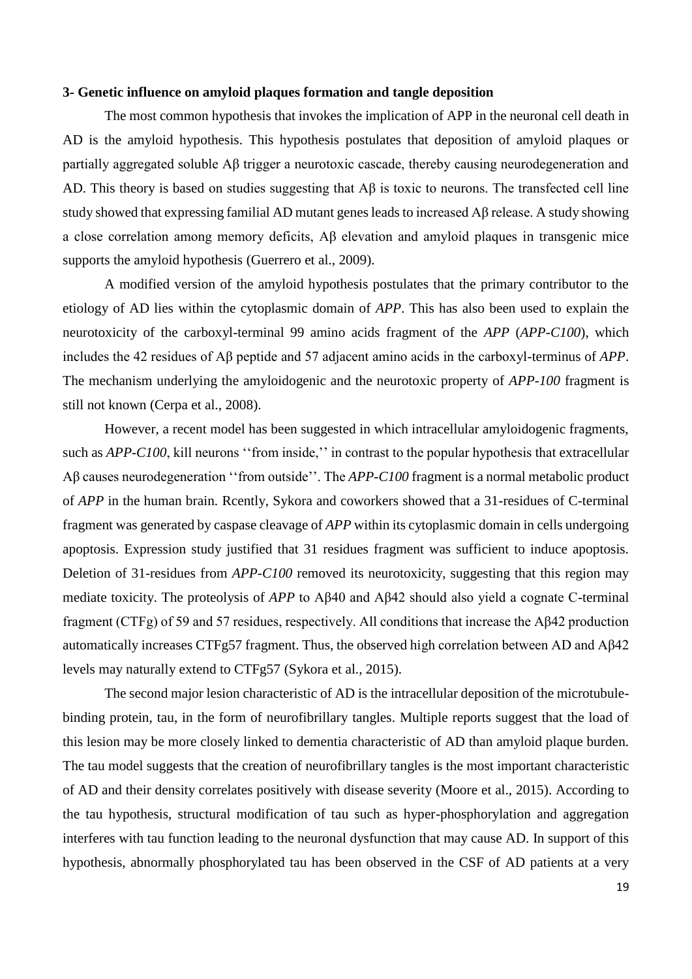#### **3- Genetic influence on amyloid plaques formation and tangle deposition**

The most common hypothesis that invokes the implication of APP in the neuronal cell death in AD is the amyloid hypothesis. This hypothesis postulates that deposition of amyloid plaques or partially aggregated soluble Aβ trigger a neurotoxic cascade, thereby causing neurodegeneration and AD. This theory is based on studies suggesting that Aβ is toxic to neurons. The transfected cell line study showed that expressing familial AD mutant genes leads to increased  $\overrightarrow{AB}$  release. A study showing a close correlation among memory deficits, Aβ elevation and amyloid plaques in transgenic mice supports the amyloid hypothesis [\(Guerrero et al., 2009\)](#page-25-13).

A modified version of the amyloid hypothesis postulates that the primary contributor to the etiology of AD lies within the cytoplasmic domain of *APP*. This has also been used to explain the neurotoxicity of the carboxyl-terminal 99 amino acids fragment of the *APP* (*APP-C100*), which includes the 42 residues of Aβ peptide and 57 adjacent amino acids in the carboxyl-terminus of *APP*. The mechanism underlying the amyloidogenic and the neurotoxic property of *APP-100* fragment is still not known [\(Cerpa et al., 2008\)](#page-24-14).

However, a recent model has been suggested in which intracellular amyloidogenic fragments, such as *APP-C100*, kill neurons "from inside," in contrast to the popular hypothesis that extracellular Aβ causes neurodegeneration ''from outside''. The *APP-C100* fragment is a normal metabolic product of *APP* in the human brain. Rcently, Sykora and coworkers showed that a 31-residues of C-terminal fragment was generated by caspase cleavage of *APP* within its cytoplasmic domain in cells undergoing apoptosis. Expression study justified that 31 residues fragment was sufficient to induce apoptosis. Deletion of 31-residues from *APP-C100* removed its neurotoxicity, suggesting that this region may mediate toxicity. The proteolysis of *APP* to Aβ40 and Aβ42 should also yield a cognate C-terminal fragment (CTFg) of 59 and 57 residues, respectively. All conditions that increase the Aβ42 production automatically increases CTFg57 fragment. Thus, the observed high correlation between AD and Aβ42 levels may naturally extend to CTFg57 [\(Sykora et al., 2015\)](#page-29-16).

The second major lesion characteristic of AD is the intracellular deposition of the microtubulebinding protein, tau, in the form of neurofibrillary tangles. Multiple reports suggest that the load of this lesion may be more closely linked to dementia characteristic of AD than amyloid plaque burden. The tau model suggests that the creation of neurofibrillary tangles is the most important characteristic of AD and their density correlates positively with disease severity [\(Moore et al., 2015\)](#page-28-16). According to the tau hypothesis, structural modification of tau such as hyper-phosphorylation and aggregation interferes with tau function leading to the neuronal dysfunction that may cause AD. In support of this hypothesis, abnormally phosphorylated tau has been observed in the CSF of AD patients at a very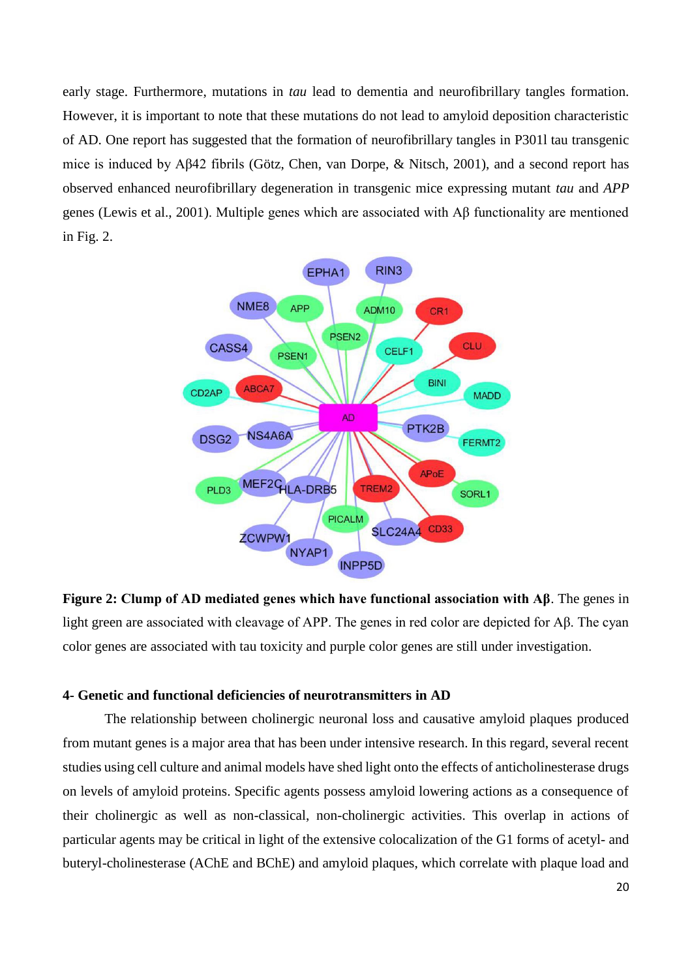early stage. Furthermore, mutations in *tau* lead to dementia and neurofibrillary tangles formation. However, it is important to note that these mutations do not lead to amyloid deposition characteristic of AD. One report has suggested that the formation of neurofibrillary tangles in P301l tau transgenic mice is induced by Aβ42 fibrils [\(Götz, Chen, van Dorpe, & Nitsch, 2001\)](#page-25-14), and a second report has observed enhanced neurofibrillary degeneration in transgenic mice expressing mutant *tau* and *APP* genes [\(Lewis et al., 2001\)](#page-27-16). Multiple genes which are associated with Aβ functionality are mentioned in Fig. 2.



**Figure 2: Clump of AD mediated genes which have functional association with Aβ**. The genes in light green are associated with cleavage of APP. The genes in red color are depicted for Aβ. The cyan color genes are associated with tau toxicity and purple color genes are still under investigation.

### **4- Genetic and functional deficiencies of neurotransmitters in AD**

The relationship between cholinergic neuronal loss and causative amyloid plaques produced from mutant genes is a major area that has been under intensive research. In this regard, several recent studies using cell culture and animal models have shed light onto the effects of anticholinesterase drugs on levels of amyloid proteins. Specific agents possess amyloid lowering actions as a consequence of their cholinergic as well as non-classical, non-cholinergic activities. This overlap in actions of particular agents may be critical in light of the extensive colocalization of the G1 forms of acetyl- and buteryl-cholinesterase (AChE and BChE) and amyloid plaques, which correlate with plaque load and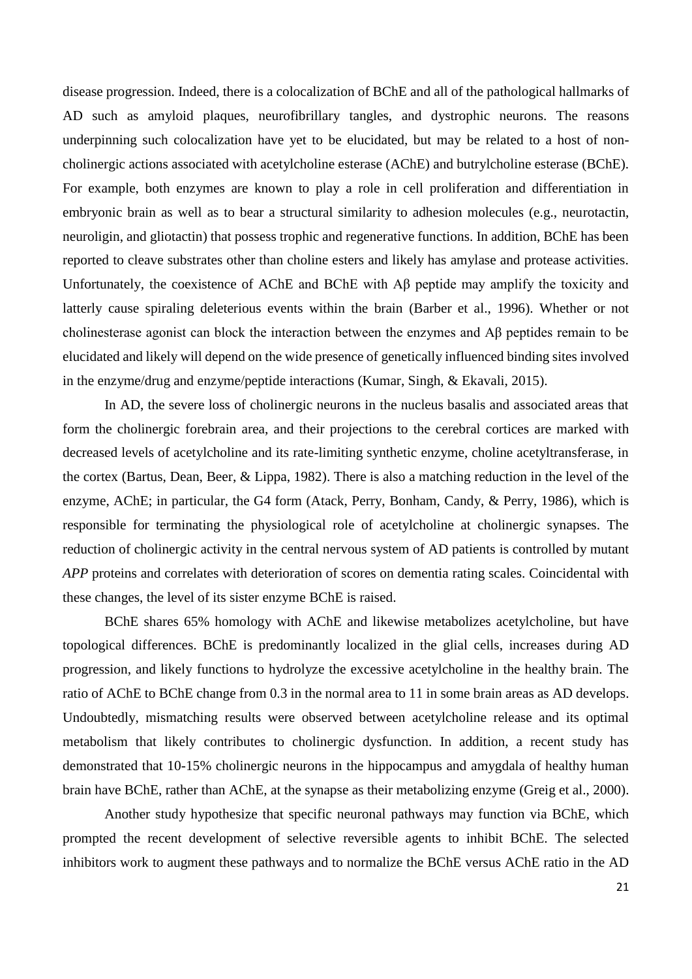disease progression. Indeed, there is a colocalization of BChE and all of the pathological hallmarks of AD such as amyloid plaques, neurofibrillary tangles, and dystrophic neurons. The reasons underpinning such colocalization have yet to be elucidated, but may be related to a host of noncholinergic actions associated with acetylcholine esterase (AChE) and butrylcholine esterase (BChE). For example, both enzymes are known to play a role in cell proliferation and differentiation in embryonic brain as well as to bear a structural similarity to adhesion molecules (e.g., neurotactin, neuroligin, and gliotactin) that possess trophic and regenerative functions. In addition, BChE has been reported to cleave substrates other than choline esters and likely has amylase and protease activities. Unfortunately, the coexistence of AChE and BChE with Aβ peptide may amplify the toxicity and latterly cause spiraling deleterious events within the brain [\(Barber et al., 1996\)](#page-24-15). Whether or not cholinesterase agonist can block the interaction between the enzymes and Aβ peptides remain to be elucidated and likely will depend on the wide presence of genetically influenced binding sites involved in the enzyme/drug and enzyme/peptide interactions [\(Kumar, Singh, & Ekavali, 2015\)](#page-27-17).

In AD, the severe loss of cholinergic neurons in the nucleus basalis and associated areas that form the cholinergic forebrain area, and their projections to the cerebral cortices are marked with decreased levels of acetylcholine and its rate-limiting synthetic enzyme, choline acetyltransferase, in the cortex [\(Bartus, Dean, Beer, & Lippa, 1982\)](#page-24-16). There is also a matching reduction in the level of the enzyme, AChE; in particular, the G4 form [\(Atack, Perry, Bonham, Candy, & Perry, 1986\)](#page-24-17), which is responsible for terminating the physiological role of acetylcholine at cholinergic synapses. The reduction of cholinergic activity in the central nervous system of AD patients is controlled by mutant *APP* proteins and correlates with deterioration of scores on dementia rating scales. Coincidental with these changes, the level of its sister enzyme BChE is raised.

BChE shares 65% homology with AChE and likewise metabolizes acetylcholine, but have topological differences. BChE is predominantly localized in the glial cells, increases during AD progression, and likely functions to hydrolyze the excessive acetylcholine in the healthy brain. The ratio of AChE to BChE change from 0.3 in the normal area to 11 in some brain areas as AD develops. Undoubtedly, mismatching results were observed between acetylcholine release and its optimal metabolism that likely contributes to cholinergic dysfunction. In addition, a recent study has demonstrated that 10-15% cholinergic neurons in the hippocampus and amygdala of healthy human brain have BChE, rather than AChE, at the synapse as their metabolizing enzyme [\(Greig et al., 2000\)](#page-25-15).

Another study hypothesize that specific neuronal pathways may function via BChE, which prompted the recent development of selective reversible agents to inhibit BChE. The selected inhibitors work to augment these pathways and to normalize the BChE versus AChE ratio in the AD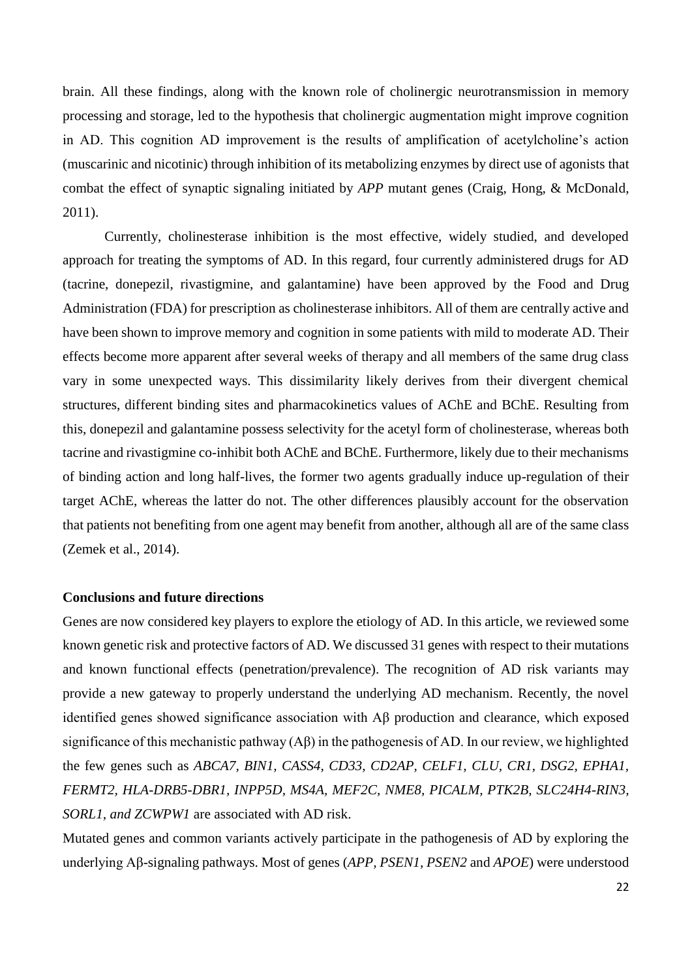brain. All these findings, along with the known role of cholinergic neurotransmission in memory processing and storage, led to the hypothesis that cholinergic augmentation might improve cognition in AD. This cognition AD improvement is the results of amplification of acetylcholine's action (muscarinic and nicotinic) through inhibition of its metabolizing enzymes by direct use of agonists that combat the effect of synaptic signaling initiated by *APP* mutant genes [\(Craig, Hong, & McDonald,](#page-25-16)  [2011\)](#page-25-16).

Currently, cholinesterase inhibition is the most effective, widely studied, and developed approach for treating the symptoms of AD. In this regard, four currently administered drugs for AD (tacrine, donepezil, rivastigmine, and galantamine) have been approved by the Food and Drug Administration (FDA) for prescription as cholinesterase inhibitors. All of them are centrally active and have been shown to improve memory and cognition in some patients with mild to moderate AD. Their effects become more apparent after several weeks of therapy and all members of the same drug class vary in some unexpected ways. This dissimilarity likely derives from their divergent chemical structures, different binding sites and pharmacokinetics values of AChE and BChE. Resulting from this, donepezil and galantamine possess selectivity for the acetyl form of cholinesterase, whereas both tacrine and rivastigmine co-inhibit both AChE and BChE. Furthermore, likely due to their mechanisms of binding action and long half-lives, the former two agents gradually induce up-regulation of their target AChE, whereas the latter do not. The other differences plausibly account for the observation that patients not benefiting from one agent may benefit from another, although all are of the same class [\(Zemek et al., 2014\)](#page-30-12).

### **Conclusions and future directions**

Genes are now considered key players to explore the etiology of AD. In this article, we reviewed some known genetic risk and protective factors of AD. We discussed 31 genes with respect to their mutations and known functional effects (penetration/prevalence). The recognition of AD risk variants may provide a new gateway to properly understand the underlying AD mechanism. Recently, the novel identified genes showed significance association with Aβ production and clearance, which exposed significance of this mechanistic pathway (Aβ) in the pathogenesis of AD. In our review, we highlighted the few genes such as *ABCA7, BIN1, CASS4, CD33, CD2AP, CELF1, CLU, CR1, DSG2, EPHA1, FERMT2, HLA-DRB5-DBR1, INPP5D, MS4A, MEF2C, NME8, PICALM, PTK2B, SLC24H4-RIN3, SORL1, and ZCWPW1* are associated with AD risk.

Mutated genes and common variants actively participate in the pathogenesis of AD by exploring the underlying Aβ-signaling pathways. Most of genes (*APP, PSEN1, PSEN2* and *APOE*) were understood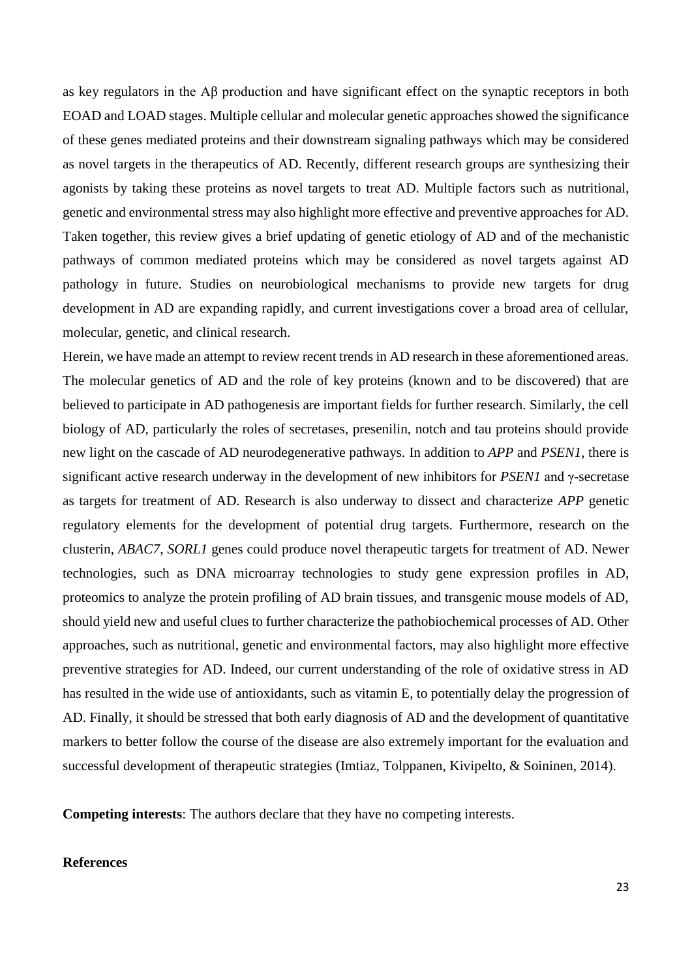as key regulators in the Aβ production and have significant effect on the synaptic receptors in both EOAD and LOAD stages. Multiple cellular and molecular genetic approaches showed the significance of these genes mediated proteins and their downstream signaling pathways which may be considered as novel targets in the therapeutics of AD. Recently, different research groups are synthesizing their agonists by taking these proteins as novel targets to treat AD. Multiple factors such as nutritional, genetic and environmental stress may also highlight more effective and preventive approaches for AD. Taken together, this review gives a brief updating of genetic etiology of AD and of the mechanistic pathways of common mediated proteins which may be considered as novel targets against AD pathology in future. Studies on neurobiological mechanisms to provide new targets for drug development in AD are expanding rapidly, and current investigations cover a broad area of cellular, molecular, genetic, and clinical research.

Herein, we have made an attempt to review recent trends in AD research in these aforementioned areas. The molecular genetics of AD and the role of key proteins (known and to be discovered) that are believed to participate in AD pathogenesis are important fields for further research. Similarly, the cell biology of AD, particularly the roles of secretases, presenilin, notch and tau proteins should provide new light on the cascade of AD neurodegenerative pathways. In addition to *APP* and *PSEN1*, there is significant active research underway in the development of new inhibitors for *PSEN1* and γ-secretase as targets for treatment of AD. Research is also underway to dissect and characterize *APP* genetic regulatory elements for the development of potential drug targets. Furthermore, research on the clusterin, *ABAC7*, *SORL1* genes could produce novel therapeutic targets for treatment of AD. Newer technologies, such as DNA microarray technologies to study gene expression profiles in AD, proteomics to analyze the protein profiling of AD brain tissues, and transgenic mouse models of AD, should yield new and useful clues to further characterize the pathobiochemical processes of AD. Other approaches, such as nutritional, genetic and environmental factors, may also highlight more effective preventive strategies for AD. Indeed, our current understanding of the role of oxidative stress in AD has resulted in the wide use of antioxidants, such as vitamin E, to potentially delay the progression of AD. Finally, it should be stressed that both early diagnosis of AD and the development of quantitative markers to better follow the course of the disease are also extremely important for the evaluation and successful development of therapeutic strategies [\(Imtiaz, Tolppanen, Kivipelto, & Soininen, 2014\)](#page-26-16).

**Competing interests**: The authors declare that they have no competing interests.

### **References**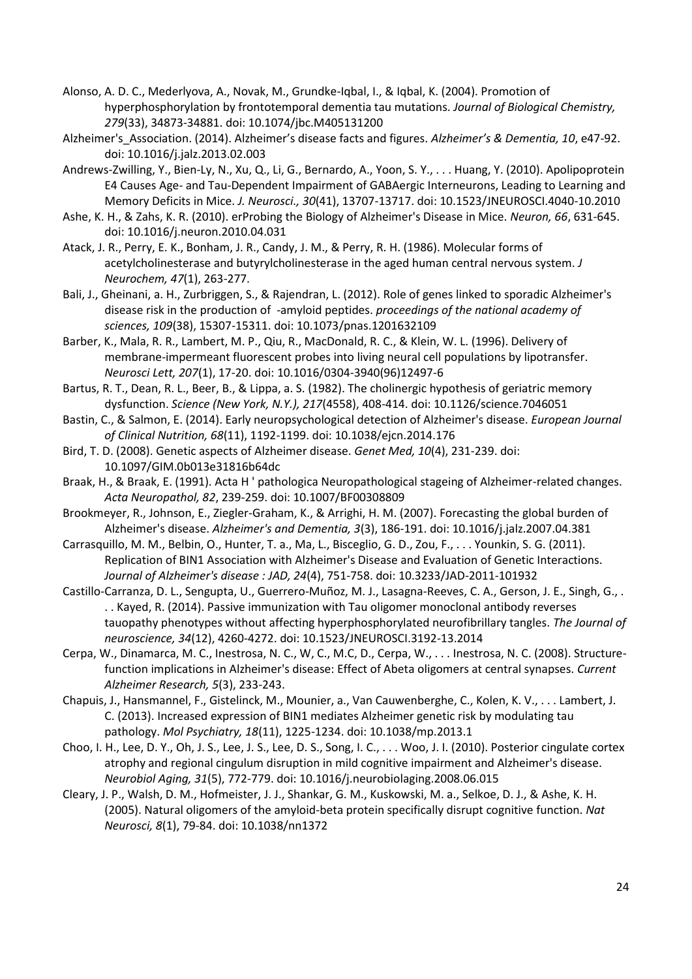- <span id="page-24-7"></span>Alonso, A. D. C., Mederlyova, A., Novak, M., Grundke-Iqbal, I., & Iqbal, K. (2004). Promotion of hyperphosphorylation by frontotemporal dementia tau mutations. *Journal of Biological Chemistry, 279*(33), 34873-34881. doi: 10.1074/jbc.M405131200
- <span id="page-24-0"></span>Alzheimer's\_Association. (2014). Alzheimer's disease facts and figures. *Alzheimer's & Dementia, 10*, e47-92. doi: 10.1016/j.jalz.2013.02.003
- <span id="page-24-10"></span>Andrews-Zwilling, Y., Bien-Ly, N., Xu, Q., Li, G., Bernardo, A., Yoon, S. Y., . . . Huang, Y. (2010). Apolipoprotein E4 Causes Age- and Tau-Dependent Impairment of GABAergic Interneurons, Leading to Learning and Memory Deficits in Mice. *J. Neurosci., 30*(41), 13707-13717. doi: 10.1523/JNEUROSCI.4040-10.2010
- <span id="page-24-11"></span>Ashe, K. H., & Zahs, K. R. (2010). erProbing the Biology of Alzheimer's Disease in Mice. *Neuron, 66*, 631-645. doi: 10.1016/j.neuron.2010.04.031
- <span id="page-24-17"></span>Atack, J. R., Perry, E. K., Bonham, J. R., Candy, J. M., & Perry, R. H. (1986). Molecular forms of acetylcholinesterase and butyrylcholinesterase in the aged human central nervous system. *J Neurochem, 47*(1), 263-277.
- <span id="page-24-4"></span>Bali, J., Gheinani, a. H., Zurbriggen, S., & Rajendran, L. (2012). Role of genes linked to sporadic Alzheimer's disease risk in the production of -amyloid peptides. *proceedings of the national academy of sciences, 109*(38), 15307-15311. doi: 10.1073/pnas.1201632109
- <span id="page-24-15"></span>Barber, K., Mala, R. R., Lambert, M. P., Qiu, R., MacDonald, R. C., & Klein, W. L. (1996). Delivery of membrane-impermeant fluorescent probes into living neural cell populations by lipotransfer. *Neurosci Lett, 207*(1), 17-20. doi: 10.1016/0304-3940(96)12497-6
- <span id="page-24-16"></span>Bartus, R. T., Dean, R. L., Beer, B., & Lippa, a. S. (1982). The cholinergic hypothesis of geriatric memory dysfunction. *Science (New York, N.Y.), 217*(4558), 408-414. doi: 10.1126/science.7046051
- <span id="page-24-2"></span>Bastin, C., & Salmon, E. (2014). Early neuropsychological detection of Alzheimer's disease. *European Journal of Clinical Nutrition, 68*(11), 1192-1199. doi: 10.1038/ejcn.2014.176
- <span id="page-24-3"></span>Bird, T. D. (2008). Genetic aspects of Alzheimer disease. *Genet Med, 10*(4), 231-239. doi: 10.1097/GIM.0b013e31816b64dc
- <span id="page-24-8"></span>Braak, H., & Braak, E. (1991). Acta H ' pathologica Neuropathological stageing of Alzheimer-related changes. *Acta Neuropathol, 82*, 239-259. doi: 10.1007/BF00308809
- <span id="page-24-1"></span>Brookmeyer, R., Johnson, E., Ziegler-Graham, K., & Arrighi, H. M. (2007). Forecasting the global burden of Alzheimer's disease. *Alzheimer's and Dementia, 3*(3), 186-191. doi: 10.1016/j.jalz.2007.04.381
- <span id="page-24-5"></span>Carrasquillo, M. M., Belbin, O., Hunter, T. a., Ma, L., Bisceglio, G. D., Zou, F., . . . Younkin, S. G. (2011). Replication of BIN1 Association with Alzheimer's Disease and Evaluation of Genetic Interactions. *Journal of Alzheimer's disease : JAD, 24*(4), 751-758. doi: 10.3233/JAD-2011-101932
- <span id="page-24-13"></span>Castillo-Carranza, D. L., Sengupta, U., Guerrero-Muñoz, M. J., Lasagna-Reeves, C. A., Gerson, J. E., Singh, G., . . . Kayed, R. (2014). Passive immunization with Tau oligomer monoclonal antibody reverses tauopathy phenotypes without affecting hyperphosphorylated neurofibrillary tangles. *The Journal of neuroscience, 34*(12), 4260-4272. doi: 10.1523/JNEUROSCI.3192-13.2014
- <span id="page-24-14"></span>Cerpa, W., Dinamarca, M. C., Inestrosa, N. C., W, C., M.C, D., Cerpa, W., . . . Inestrosa, N. C. (2008). Structurefunction implications in Alzheimer's disease: Effect of Abeta oligomers at central synapses. *Current Alzheimer Research, 5*(3), 233-243.
- <span id="page-24-6"></span>Chapuis, J., Hansmannel, F., Gistelinck, M., Mounier, a., Van Cauwenberghe, C., Kolen, K. V., . . . Lambert, J. C. (2013). Increased expression of BIN1 mediates Alzheimer genetic risk by modulating tau pathology. *Mol Psychiatry, 18*(11), 1225-1234. doi: 10.1038/mp.2013.1
- <span id="page-24-9"></span>Choo, I. H., Lee, D. Y., Oh, J. S., Lee, J. S., Lee, D. S., Song, I. C., . . . Woo, J. I. (2010). Posterior cingulate cortex atrophy and regional cingulum disruption in mild cognitive impairment and Alzheimer's disease. *Neurobiol Aging, 31*(5), 772-779. doi: 10.1016/j.neurobiolaging.2008.06.015
- <span id="page-24-12"></span>Cleary, J. P., Walsh, D. M., Hofmeister, J. J., Shankar, G. M., Kuskowski, M. a., Selkoe, D. J., & Ashe, K. H. (2005). Natural oligomers of the amyloid-beta protein specifically disrupt cognitive function. *Nat Neurosci, 8*(1), 79-84. doi: 10.1038/nn1372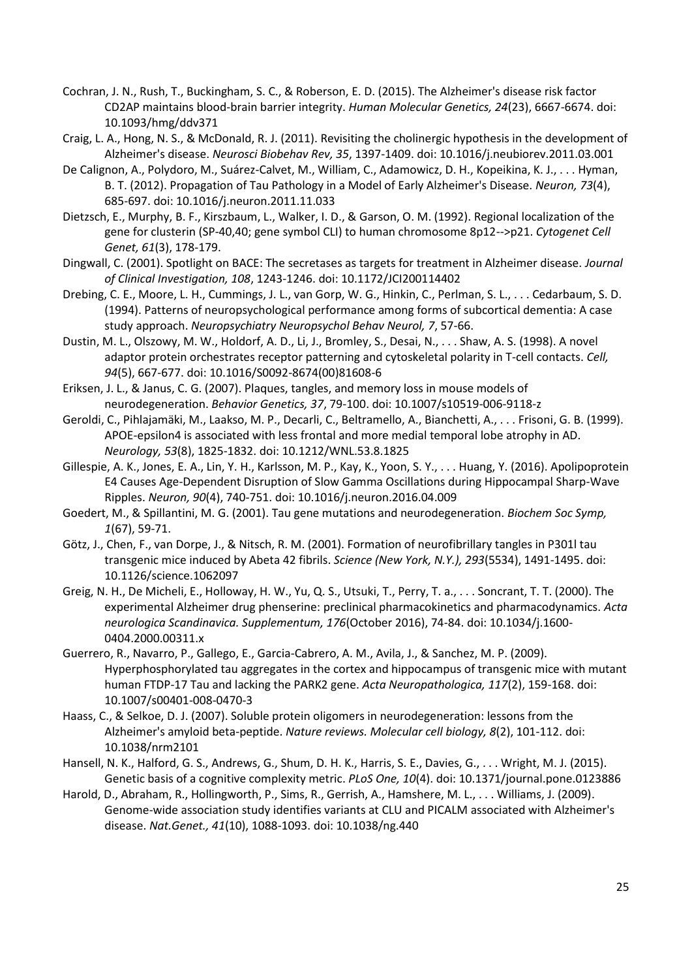- <span id="page-25-1"></span>Cochran, J. N., Rush, T., Buckingham, S. C., & Roberson, E. D. (2015). The Alzheimer's disease risk factor CD2AP maintains blood-brain barrier integrity. *Human Molecular Genetics, 24*(23), 6667-6674. doi: 10.1093/hmg/ddv371
- <span id="page-25-16"></span>Craig, L. A., Hong, N. S., & McDonald, R. J. (2011). Revisiting the cholinergic hypothesis in the development of Alzheimer's disease. *Neurosci Biobehav Rev, 35*, 1397-1409. doi: 10.1016/j.neubiorev.2011.03.001
- <span id="page-25-11"></span>De Calignon, A., Polydoro, M., Suárez-Calvet, M., William, C., Adamowicz, D. H., Kopeikina, K. J., . . . Hyman, B. T. (2012). Propagation of Tau Pathology in a Model of Early Alzheimer's Disease. *Neuron, 73*(4), 685-697. doi: 10.1016/j.neuron.2011.11.033
- <span id="page-25-3"></span>Dietzsch, E., Murphy, B. F., Kirszbaum, L., Walker, I. D., & Garson, O. M. (1992). Regional localization of the gene for clusterin (SP-40,40; gene symbol CLI) to human chromosome 8p12-->p21. *Cytogenet Cell Genet, 61*(3), 178-179.
- <span id="page-25-6"></span>Dingwall, C. (2001). Spotlight on BACE: The secretases as targets for treatment in Alzheimer disease. *Journal of Clinical Investigation, 108*, 1243-1246. doi: 10.1172/JCI200114402
- <span id="page-25-7"></span>Drebing, C. E., Moore, L. H., Cummings, J. L., van Gorp, W. G., Hinkin, C., Perlman, S. L., . . . Cedarbaum, S. D. (1994). Patterns of neuropsychological performance among forms of subcortical dementia: A case study approach. *Neuropsychiatry Neuropsychol Behav Neurol, 7*, 57-66.
- <span id="page-25-2"></span>Dustin, M. L., Olszowy, M. W., Holdorf, A. D., Li, J., Bromley, S., Desai, N., . . . Shaw, A. S. (1998). A novel adaptor protein orchestrates receptor patterning and cytoskeletal polarity in T-cell contacts. *Cell, 94*(5), 667-677. doi: 10.1016/S0092-8674(00)81608-6
- <span id="page-25-9"></span>Eriksen, J. L., & Janus, C. G. (2007). Plaques, tangles, and memory loss in mouse models of neurodegeneration. *Behavior Genetics, 37*, 79-100. doi: 10.1007/s10519-006-9118-z
- <span id="page-25-10"></span>Geroldi, C., Pihlajamäki, M., Laakso, M. P., Decarli, C., Beltramello, A., Bianchetti, A., . . . Frisoni, G. B. (1999). APOE-epsilon4 is associated with less frontal and more medial temporal lobe atrophy in AD. *Neurology, 53*(8), 1825-1832. doi: 10.1212/WNL.53.8.1825
- <span id="page-25-8"></span>Gillespie, A. K., Jones, E. A., Lin, Y. H., Karlsson, M. P., Kay, K., Yoon, S. Y., . . . Huang, Y. (2016). Apolipoprotein E4 Causes Age-Dependent Disruption of Slow Gamma Oscillations during Hippocampal Sharp-Wave Ripples. *Neuron, 90*(4), 740-751. doi: 10.1016/j.neuron.2016.04.009
- <span id="page-25-5"></span>Goedert, M., & Spillantini, M. G. (2001). Tau gene mutations and neurodegeneration. *Biochem Soc Symp, 1*(67), 59-71.
- <span id="page-25-14"></span>Götz, J., Chen, F., van Dorpe, J., & Nitsch, R. M. (2001). Formation of neurofibrillary tangles in P301l tau transgenic mice induced by Abeta 42 fibrils. *Science (New York, N.Y.), 293*(5534), 1491-1495. doi: 10.1126/science.1062097
- <span id="page-25-15"></span>Greig, N. H., De Micheli, E., Holloway, H. W., Yu, Q. S., Utsuki, T., Perry, T. a., . . . Soncrant, T. T. (2000). The experimental Alzheimer drug phenserine: preclinical pharmacokinetics and pharmacodynamics. *Acta neurologica Scandinavica. Supplementum, 176*(October 2016), 74-84. doi: 10.1034/j.1600- 0404.2000.00311.x
- <span id="page-25-13"></span>Guerrero, R., Navarro, P., Gallego, E., Garcia-Cabrero, A. M., Avila, J., & Sanchez, M. P. (2009). Hyperphosphorylated tau aggregates in the cortex and hippocampus of transgenic mice with mutant human FTDP-17 Tau and lacking the PARK2 gene. *Acta Neuropathologica, 117*(2), 159-168. doi: 10.1007/s00401-008-0470-3
- <span id="page-25-12"></span>Haass, C., & Selkoe, D. J. (2007). Soluble protein oligomers in neurodegeneration: lessons from the Alzheimer's amyloid beta-peptide. *Nature reviews. Molecular cell biology, 8*(2), 101-112. doi: 10.1038/nrm2101
- <span id="page-25-0"></span>Hansell, N. K., Halford, G. S., Andrews, G., Shum, D. H. K., Harris, S. E., Davies, G., . . . Wright, M. J. (2015). Genetic basis of a cognitive complexity metric. *PLoS One, 10*(4). doi: 10.1371/journal.pone.0123886
- <span id="page-25-4"></span>Harold, D., Abraham, R., Hollingworth, P., Sims, R., Gerrish, A., Hamshere, M. L., . . . Williams, J. (2009). Genome-wide association study identifies variants at CLU and PICALM associated with Alzheimer's disease. *Nat.Genet., 41*(10), 1088-1093. doi: 10.1038/ng.440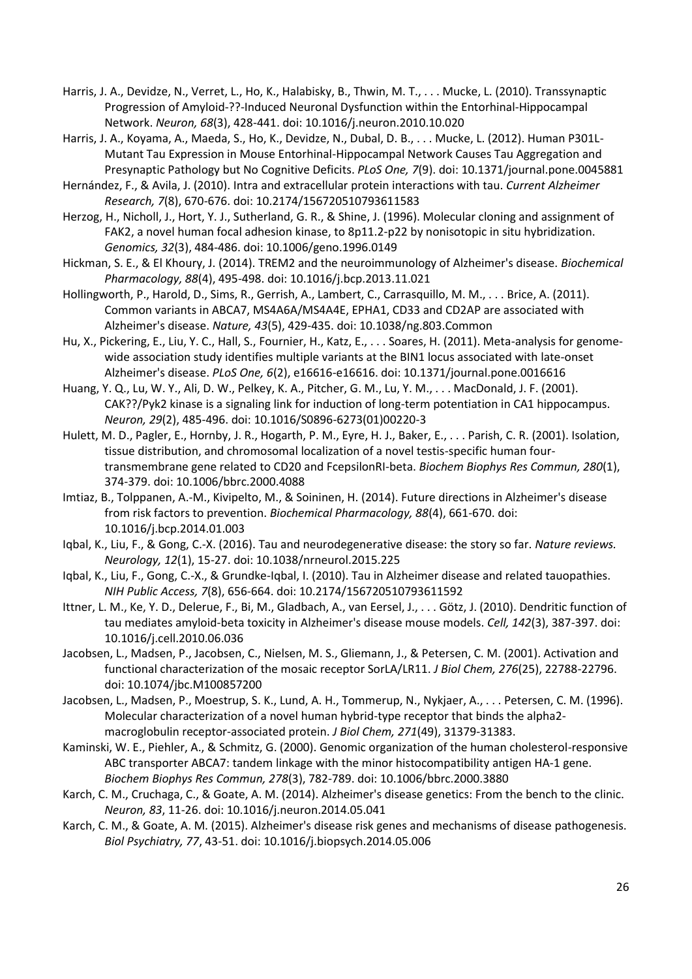- <span id="page-26-14"></span>Harris, J. A., Devidze, N., Verret, L., Ho, K., Halabisky, B., Thwin, M. T., . . . Mucke, L. (2010). Transsynaptic Progression of Amyloid-??-Induced Neuronal Dysfunction within the Entorhinal-Hippocampal Network. *Neuron, 68*(3), 428-441. doi: 10.1016/j.neuron.2010.10.020
- <span id="page-26-15"></span>Harris, J. A., Koyama, A., Maeda, S., Ho, K., Devidze, N., Dubal, D. B., . . . Mucke, L. (2012). Human P301L-Mutant Tau Expression in Mouse Entorhinal-Hippocampal Network Causes Tau Aggregation and Presynaptic Pathology but No Cognitive Deficits. *PLoS One, 7*(9). doi: 10.1371/journal.pone.0045881
- <span id="page-26-13"></span>Hernández, F., & Avila, J. (2010). Intra and extracellular protein interactions with tau. *Current Alzheimer Research, 7*(8), 670-676. doi: 10.2174/156720510793611583
- <span id="page-26-6"></span>Herzog, H., Nicholl, J., Hort, Y. J., Sutherland, G. R., & Shine, J. (1996). Molecular cloning and assignment of FAK2, a novel human focal adhesion kinase, to 8p11.2-p22 by nonisotopic in situ hybridization. *Genomics, 32*(3), 484-486. doi: 10.1006/geno.1996.0149
- <span id="page-26-9"></span>Hickman, S. E., & El Khoury, J. (2014). TREM2 and the neuroimmunology of Alzheimer's disease. *Biochemical Pharmacology, 88*(4), 495-498. doi: 10.1016/j.bcp.2013.11.021
- <span id="page-26-2"></span>Hollingworth, P., Harold, D., Sims, R., Gerrish, A., Lambert, C., Carrasquillo, M. M., . . . Brice, A. (2011). Common variants in ABCA7, MS4A6A/MS4A4E, EPHA1, CD33 and CD2AP are associated with Alzheimer's disease. *Nature, 43*(5), 429-435. doi: 10.1038/ng.803.Common
- <span id="page-26-1"></span>Hu, X., Pickering, E., Liu, Y. C., Hall, S., Fournier, H., Katz, E., . . . Soares, H. (2011). Meta-analysis for genomewide association study identifies multiple variants at the BIN1 locus associated with late-onset Alzheimer's disease. *PLoS One, 6*(2), e16616-e16616. doi: 10.1371/journal.pone.0016616
- <span id="page-26-7"></span>Huang, Y. Q., Lu, W. Y., Ali, D. W., Pelkey, K. A., Pitcher, G. M., Lu, Y. M., . . . MacDonald, J. F. (2001). CAK??/Pyk2 kinase is a signaling link for induction of long-term potentiation in CA1 hippocampus. *Neuron, 29*(2), 485-496. doi: 10.1016/S0896-6273(01)00220-3
- <span id="page-26-3"></span>Hulett, M. D., Pagler, E., Hornby, J. R., Hogarth, P. M., Eyre, H. J., Baker, E., . . . Parish, C. R. (2001). Isolation, tissue distribution, and chromosomal localization of a novel testis-specific human fourtransmembrane gene related to CD20 and FcepsilonRI-beta. *Biochem Biophys Res Commun, 280*(1), 374-379. doi: 10.1006/bbrc.2000.4088
- <span id="page-26-16"></span>Imtiaz, B., Tolppanen, A.-M., Kivipelto, M., & Soininen, H. (2014). Future directions in Alzheimer's disease from risk factors to prevention. *Biochemical Pharmacology, 88*(4), 661-670. doi: 10.1016/j.bcp.2014.01.003
- <span id="page-26-11"></span>Iqbal, K., Liu, F., & Gong, C.-X. (2016). Tau and neurodegenerative disease: the story so far. *Nature reviews. Neurology, 12*(1), 15-27. doi: 10.1038/nrneurol.2015.225
- <span id="page-26-10"></span>Iqbal, K., Liu, F., Gong, C.-X., & Grundke-Iqbal, I. (2010). Tau in Alzheimer disease and related tauopathies. *NIH Public Access, 7*(8), 656-664. doi: 10.2174/156720510793611592
- <span id="page-26-12"></span>Ittner, L. M., Ke, Y. D., Delerue, F., Bi, M., Gladbach, A., van Eersel, J., . . . Götz, J. (2010). Dendritic function of tau mediates amyloid-beta toxicity in Alzheimer's disease mouse models. *Cell, 142*(3), 387-397. doi: 10.1016/j.cell.2010.06.036
- <span id="page-26-4"></span>Jacobsen, L., Madsen, P., Jacobsen, C., Nielsen, M. S., Gliemann, J., & Petersen, C. M. (2001). Activation and functional characterization of the mosaic receptor SorLA/LR11. *J Biol Chem, 276*(25), 22788-22796. doi: 10.1074/jbc.M100857200
- Jacobsen, L., Madsen, P., Moestrup, S. K., Lund, A. H., Tommerup, N., Nykjaer, A., . . . Petersen, C. M. (1996). Molecular characterization of a novel human hybrid-type receptor that binds the alpha2 macroglobulin receptor-associated protein. *J Biol Chem, 271*(49), 31379-31383.
- <span id="page-26-5"></span>Kaminski, W. E., Piehler, A., & Schmitz, G. (2000). Genomic organization of the human cholesterol-responsive ABC transporter ABCA7: tandem linkage with the minor histocompatibility antigen HA-1 gene. *Biochem Biophys Res Commun, 278*(3), 782-789. doi: 10.1006/bbrc.2000.3880
- <span id="page-26-8"></span>Karch, C. M., Cruchaga, C., & Goate, A. M. (2014). Alzheimer's disease genetics: From the bench to the clinic. *Neuron, 83*, 11-26. doi: 10.1016/j.neuron.2014.05.041
- <span id="page-26-0"></span>Karch, C. M., & Goate, A. M. (2015). Alzheimer's disease risk genes and mechanisms of disease pathogenesis. *Biol Psychiatry, 77*, 43-51. doi: 10.1016/j.biopsych.2014.05.006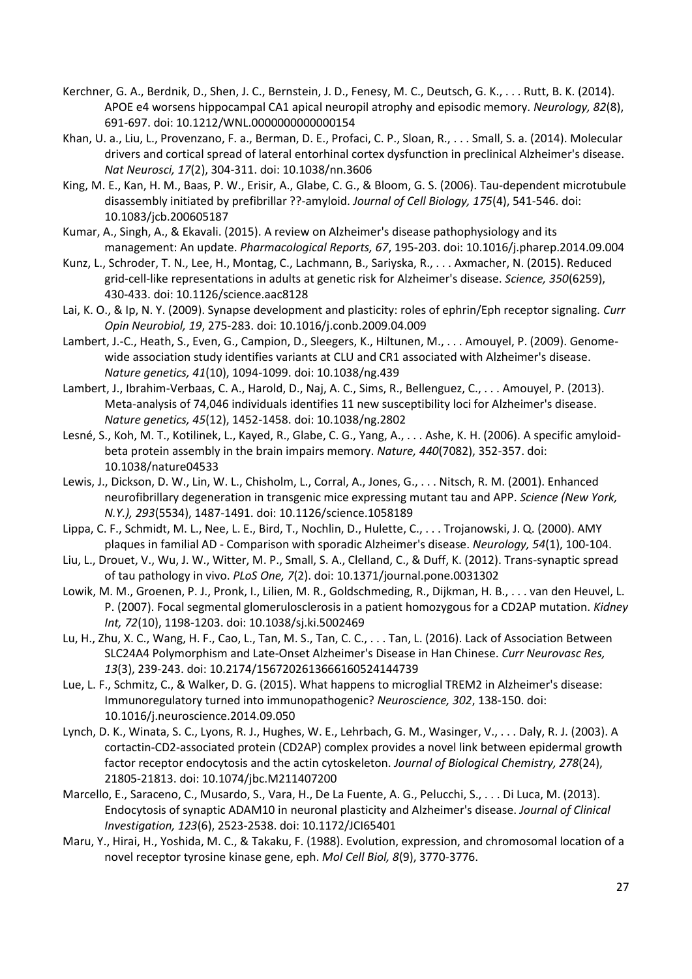- <span id="page-27-11"></span>Kerchner, G. A., Berdnik, D., Shen, J. C., Bernstein, J. D., Fenesy, M. C., Deutsch, G. K., . . . Rutt, B. K. (2014). APOE e4 worsens hippocampal CA1 apical neuropil atrophy and episodic memory. *Neurology, 82*(8), 691-697. doi: 10.1212/WNL.0000000000000154
- <span id="page-27-14"></span>Khan, U. a., Liu, L., Provenzano, F. a., Berman, D. E., Profaci, C. P., Sloan, R., . . . Small, S. a. (2014). Molecular drivers and cortical spread of lateral entorhinal cortex dysfunction in preclinical Alzheimer's disease. *Nat Neurosci, 17*(2), 304-311. doi: 10.1038/nn.3606
- <span id="page-27-9"></span>King, M. E., Kan, H. M., Baas, P. W., Erisir, A., Glabe, C. G., & Bloom, G. S. (2006). Tau-dependent microtubule disassembly initiated by prefibrillar ??-amyloid. *Journal of Cell Biology, 175*(4), 541-546. doi: 10.1083/jcb.200605187
- <span id="page-27-17"></span>Kumar, A., Singh, A., & Ekavali. (2015). A review on Alzheimer's disease pathophysiology and its management: An update. *Pharmacological Reports, 67*, 195-203. doi: 10.1016/j.pharep.2014.09.004
- <span id="page-27-12"></span>Kunz, L., Schroder, T. N., Lee, H., Montag, C., Lachmann, B., Sariyska, R., . . . Axmacher, N. (2015). Reduced grid-cell-like representations in adults at genetic risk for Alzheimer's disease. *Science, 350*(6259), 430-433. doi: 10.1126/science.aac8128
- <span id="page-27-6"></span>Lai, K. O., & Ip, N. Y. (2009). Synapse development and plasticity: roles of ephrin/Eph receptor signaling. *Curr Opin Neurobiol, 19*, 275-283. doi: 10.1016/j.conb.2009.04.009
- <span id="page-27-2"></span>Lambert, J.-C., Heath, S., Even, G., Campion, D., Sleegers, K., Hiltunen, M., . . . Amouyel, P. (2009). Genomewide association study identifies variants at CLU and CR1 associated with Alzheimer's disease. *Nature genetics, 41*(10), 1094-1099. doi: 10.1038/ng.439
- <span id="page-27-10"></span>Lambert, J., Ibrahim-Verbaas, C. A., Harold, D., Naj, A. C., Sims, R., Bellenguez, C., . . . Amouyel, P. (2013). Meta-analysis of 74,046 individuals identifies 11 new susceptibility loci for Alzheimer's disease. *Nature genetics, 45*(12), 1452-1458. doi: 10.1038/ng.2802
- <span id="page-27-13"></span>Lesné, S., Koh, M. T., Kotilinek, L., Kayed, R., Glabe, C. G., Yang, A., . . . Ashe, K. H. (2006). A specific amyloidbeta protein assembly in the brain impairs memory. *Nature, 440*(7082), 352-357. doi: 10.1038/nature04533
- <span id="page-27-16"></span>Lewis, J., Dickson, D. W., Lin, W. L., Chisholm, L., Corral, A., Jones, G., . . . Nitsch, R. M. (2001). Enhanced neurofibrillary degeneration in transgenic mice expressing mutant tau and APP. *Science (New York, N.Y.), 293*(5534), 1487-1491. doi: 10.1126/science.1058189
- <span id="page-27-0"></span>Lippa, C. F., Schmidt, M. L., Nee, L. E., Bird, T., Nochlin, D., Hulette, C., . . . Trojanowski, J. Q. (2000). AMY plaques in familial AD - Comparison with sporadic Alzheimer's disease. *Neurology, 54*(1), 100-104.
- <span id="page-27-15"></span>Liu, L., Drouet, V., Wu, J. W., Witter, M. P., Small, S. A., Clelland, C., & Duff, K. (2012). Trans-synaptic spread of tau pathology in vivo. *PLoS One, 7*(2). doi: 10.1371/journal.pone.0031302
- <span id="page-27-3"></span>Lowik, M. M., Groenen, P. J., Pronk, I., Lilien, M. R., Goldschmeding, R., Dijkman, H. B., . . . van den Heuvel, L. P. (2007). Focal segmental glomerulosclerosis in a patient homozygous for a CD2AP mutation. *Kidney Int, 72*(10), 1198-1203. doi: 10.1038/sj.ki.5002469
- <span id="page-27-7"></span>Lu, H., Zhu, X. C., Wang, H. F., Cao, L., Tan, M. S., Tan, C. C., . . . Tan, L. (2016). Lack of Association Between SLC24A4 Polymorphism and Late-Onset Alzheimer's Disease in Han Chinese. *Curr Neurovasc Res, 13*(3), 239-243. doi: 10.2174/1567202613666160524144739
- <span id="page-27-8"></span>Lue, L. F., Schmitz, C., & Walker, D. G. (2015). What happens to microglial TREM2 in Alzheimer's disease: Immunoregulatory turned into immunopathogenic? *Neuroscience, 302*, 138-150. doi: 10.1016/j.neuroscience.2014.09.050
- <span id="page-27-4"></span>Lynch, D. K., Winata, S. C., Lyons, R. J., Hughes, W. E., Lehrbach, G. M., Wasinger, V., . . . Daly, R. J. (2003). A cortactin-CD2-associated protein (CD2AP) complex provides a novel link between epidermal growth factor receptor endocytosis and the actin cytoskeleton. *Journal of Biological Chemistry, 278*(24), 21805-21813. doi: 10.1074/jbc.M211407200
- <span id="page-27-1"></span>Marcello, E., Saraceno, C., Musardo, S., Vara, H., De La Fuente, A. G., Pelucchi, S., . . . Di Luca, M. (2013). Endocytosis of synaptic ADAM10 in neuronal plasticity and Alzheimer's disease. *Journal of Clinical Investigation, 123*(6), 2523-2538. doi: 10.1172/JCI65401
- <span id="page-27-5"></span>Maru, Y., Hirai, H., Yoshida, M. C., & Takaku, F. (1988). Evolution, expression, and chromosomal location of a novel receptor tyrosine kinase gene, eph. *Mol Cell Biol, 8*(9), 3770-3776.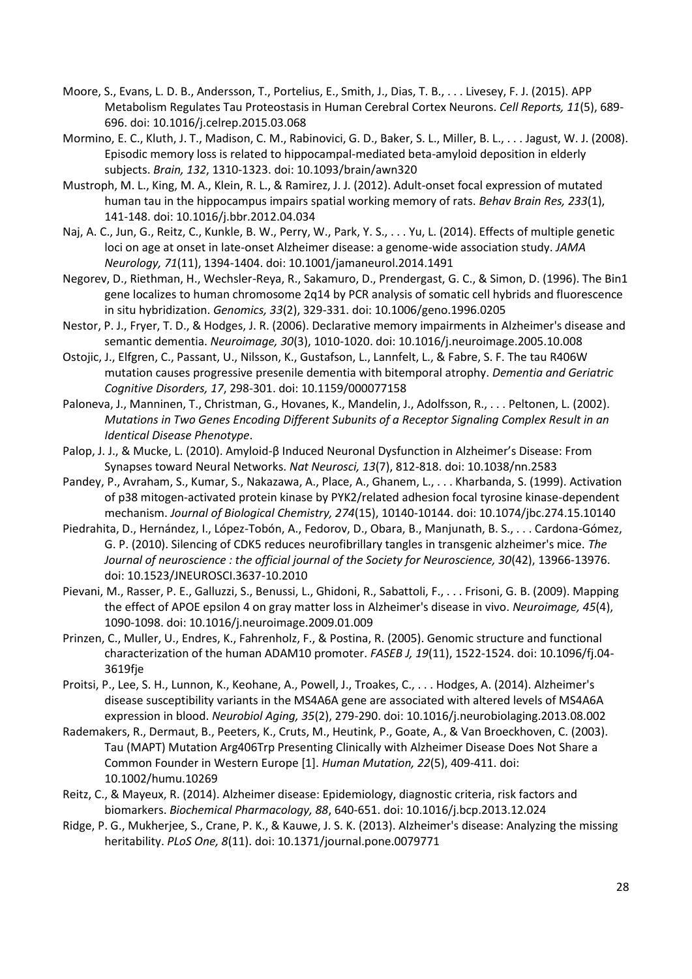- <span id="page-28-16"></span>Moore, S., Evans, L. D. B., Andersson, T., Portelius, E., Smith, J., Dias, T. B., . . . Livesey, F. J. (2015). APP Metabolism Regulates Tau Proteostasis in Human Cerebral Cortex Neurons. *Cell Reports, 11*(5), 689- 696. doi: 10.1016/j.celrep.2015.03.068
- <span id="page-28-11"></span>Mormino, E. C., Kluth, J. T., Madison, C. M., Rabinovici, G. D., Baker, S. L., Miller, B. L., . . . Jagust, W. J. (2008). Episodic memory loss is related to hippocampal-mediated beta-amyloid deposition in elderly subjects. *Brain, 132*, 1310-1323. doi: 10.1093/brain/awn320
- <span id="page-28-14"></span>Mustroph, M. L., King, M. A., Klein, R. L., & Ramirez, J. J. (2012). Adult-onset focal expression of mutated human tau in the hippocampus impairs spatial working memory of rats. *Behav Brain Res, 233*(1), 141-148. doi: 10.1016/j.bbr.2012.04.034
- <span id="page-28-9"></span>Naj, A. C., Jun, G., Reitz, C., Kunkle, B. W., Perry, W., Park, Y. S., . . . Yu, L. (2014). Effects of multiple genetic loci on age at onset in late-onset Alzheimer disease: a genome-wide association study. *JAMA Neurology, 71*(11), 1394-1404. doi: 10.1001/jamaneurol.2014.1491
- <span id="page-28-2"></span>Negorev, D., Riethman, H., Wechsler-Reya, R., Sakamuro, D., Prendergast, G. C., & Simon, D. (1996). The Bin1 gene localizes to human chromosome 2q14 by PCR analysis of somatic cell hybrids and fluorescence in situ hybridization. *Genomics, 33*(2), 329-331. doi: 10.1006/geno.1996.0205
- <span id="page-28-13"></span>Nestor, P. J., Fryer, T. D., & Hodges, J. R. (2006). Declarative memory impairments in Alzheimer's disease and semantic dementia. *Neuroimage, 30*(3), 1010-1020. doi: 10.1016/j.neuroimage.2005.10.008
- <span id="page-28-6"></span>Ostojic, J., Elfgren, C., Passant, U., Nilsson, K., Gustafson, L., Lannfelt, L., & Fabre, S. F. The tau R406W mutation causes progressive presenile dementia with bitemporal atrophy. *Dementia and Geriatric Cognitive Disorders, 17*, 298-301. doi: 10.1159/000077158
- <span id="page-28-5"></span>Paloneva, J., Manninen, T., Christman, G., Hovanes, K., Mandelin, J., Adolfsson, R., . . . Peltonen, L. (2002). *Mutations in Two Genes Encoding Different Subunits of a Receptor Signaling Complex Result in an Identical Disease Phenotype*.
- <span id="page-28-15"></span>Palop, J. J., & Mucke, L. (2010). Amyloid-β Induced Neuronal Dysfunction in Alzheimer's Disease: From Synapses toward Neural Networks. *Nat Neurosci, 13*(7), 812-818. doi: 10.1038/nn.2583
- <span id="page-28-4"></span>Pandey, P., Avraham, S., Kumar, S., Nakazawa, A., Place, A., Ghanem, L., . . . Kharbanda, S. (1999). Activation of p38 mitogen-activated protein kinase by PYK2/related adhesion focal tyrosine kinase-dependent mechanism. *Journal of Biological Chemistry, 274*(15), 10140-10144. doi: 10.1074/jbc.274.15.10140
- <span id="page-28-8"></span>Piedrahita, D., Hernández, I., López-Tobón, A., Fedorov, D., Obara, B., Manjunath, B. S., . . . Cardona-Gómez, G. P. (2010). Silencing of CDK5 reduces neurofibrillary tangles in transgenic alzheimer's mice. *The Journal of neuroscience : the official journal of the Society for Neuroscience, 30*(42), 13966-13976. doi: 10.1523/JNEUROSCI.3637-10.2010
- <span id="page-28-12"></span>Pievani, M., Rasser, P. E., Galluzzi, S., Benussi, L., Ghidoni, R., Sabattoli, F., . . . Frisoni, G. B. (2009). Mapping the effect of APOE epsilon 4 on gray matter loss in Alzheimer's disease in vivo. *Neuroimage, 45*(4), 1090-1098. doi: 10.1016/j.neuroimage.2009.01.009
- <span id="page-28-1"></span>Prinzen, C., Muller, U., Endres, K., Fahrenholz, F., & Postina, R. (2005). Genomic structure and functional characterization of the human ADAM10 promoter. *FASEB J, 19*(11), 1522-1524. doi: 10.1096/fj.04- 3619fje
- <span id="page-28-3"></span>Proitsi, P., Lee, S. H., Lunnon, K., Keohane, A., Powell, J., Troakes, C., . . . Hodges, A. (2014). Alzheimer's disease susceptibility variants in the MS4A6A gene are associated with altered levels of MS4A6A expression in blood. *Neurobiol Aging, 35*(2), 279-290. doi: 10.1016/j.neurobiolaging.2013.08.002
- <span id="page-28-7"></span>Rademakers, R., Dermaut, B., Peeters, K., Cruts, M., Heutink, P., Goate, A., & Van Broeckhoven, C. (2003). Tau (MAPT) Mutation Arg406Trp Presenting Clinically with Alzheimer Disease Does Not Share a Common Founder in Western Europe [1]. *Human Mutation, 22*(5), 409-411. doi: 10.1002/humu.10269
- <span id="page-28-10"></span>Reitz, C., & Mayeux, R. (2014). Alzheimer disease: Epidemiology, diagnostic criteria, risk factors and biomarkers. *Biochemical Pharmacology, 88*, 640-651. doi: 10.1016/j.bcp.2013.12.024
- <span id="page-28-0"></span>Ridge, P. G., Mukherjee, S., Crane, P. K., & Kauwe, J. S. K. (2013). Alzheimer's disease: Analyzing the missing heritability. *PLoS One, 8*(11). doi: 10.1371/journal.pone.0079771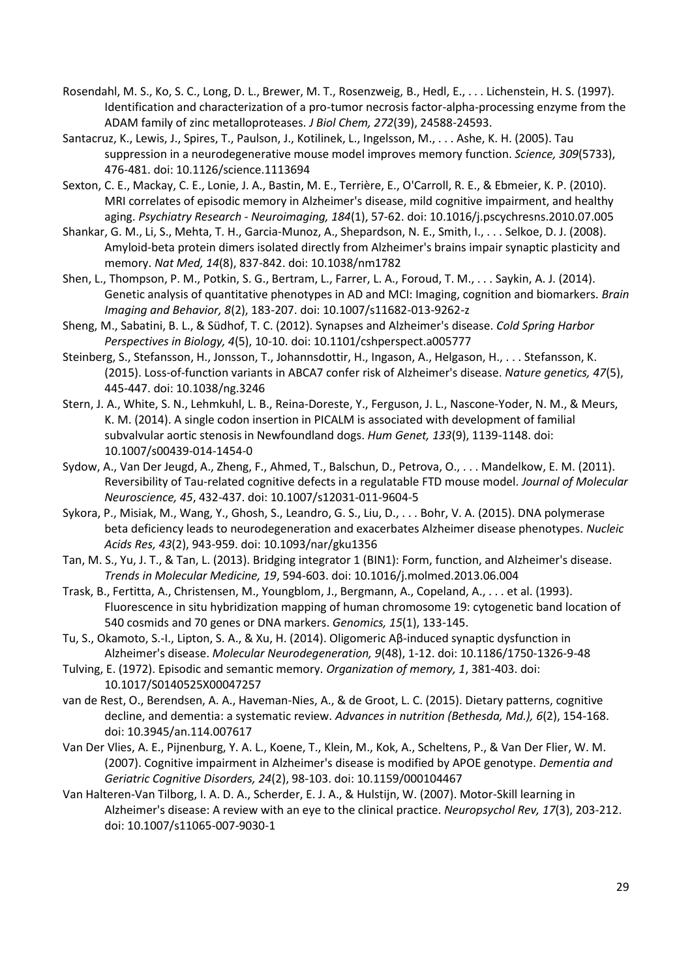- <span id="page-29-2"></span>Rosendahl, M. S., Ko, S. C., Long, D. L., Brewer, M. T., Rosenzweig, B., Hedl, E., . . . Lichenstein, H. S. (1997). Identification and characterization of a pro-tumor necrosis factor-alpha-processing enzyme from the ADAM family of zinc metalloproteases. *J Biol Chem, 272*(39), 24588-24593.
- <span id="page-29-12"></span>Santacruz, K., Lewis, J., Spires, T., Paulson, J., Kotilinek, L., Ingelsson, M., . . . Ashe, K. H. (2005). Tau suppression in a neurodegenerative mouse model improves memory function. *Science, 309*(5733), 476-481. doi: 10.1126/science.1113694
- <span id="page-29-9"></span>Sexton, C. E., Mackay, C. E., Lonie, J. A., Bastin, M. E., Terrière, E., O'Carroll, R. E., & Ebmeier, K. P. (2010). MRI correlates of episodic memory in Alzheimer's disease, mild cognitive impairment, and healthy aging. *Psychiatry Research - Neuroimaging, 184*(1), 57-62. doi: 10.1016/j.pscychresns.2010.07.005
- <span id="page-29-11"></span>Shankar, G. M., Li, S., Mehta, T. H., Garcia-Munoz, A., Shepardson, N. E., Smith, I., . . . Selkoe, D. J. (2008). Amyloid-beta protein dimers isolated directly from Alzheimer's brains impair synaptic plasticity and memory. *Nat Med, 14*(8), 837-842. doi: 10.1038/nm1782
- <span id="page-29-0"></span>Shen, L., Thompson, P. M., Potkin, S. G., Bertram, L., Farrer, L. A., Foroud, T. M., . . . Saykin, A. J. (2014). Genetic analysis of quantitative phenotypes in AD and MCI: Imaging, cognition and biomarkers. *Brain Imaging and Behavior, 8*(2), 183-207. doi: 10.1007/s11682-013-9262-z
- <span id="page-29-14"></span>Sheng, M., Sabatini, B. L., & Südhof, T. C. (2012). Synapses and Alzheimer's disease. *Cold Spring Harbor Perspectives in Biology, 4*(5), 10-10. doi: 10.1101/cshperspect.a005777
- <span id="page-29-5"></span>Steinberg, S., Stefansson, H., Jonsson, T., Johannsdottir, H., Ingason, A., Helgason, H., . . . Stefansson, K. (2015). Loss-of-function variants in ABCA7 confer risk of Alzheimer's disease. *Nature genetics, 47*(5), 445-447. doi: 10.1038/ng.3246
- <span id="page-29-4"></span>Stern, J. A., White, S. N., Lehmkuhl, L. B., Reina-Doreste, Y., Ferguson, J. L., Nascone-Yoder, N. M., & Meurs, K. M. (2014). A single codon insertion in PICALM is associated with development of familial subvalvular aortic stenosis in Newfoundland dogs. *Hum Genet, 133*(9), 1139-1148. doi: 10.1007/s00439-014-1454-0
- <span id="page-29-13"></span>Sydow, A., Van Der Jeugd, A., Zheng, F., Ahmed, T., Balschun, D., Petrova, O., . . . Mandelkow, E. M. (2011). Reversibility of Tau-related cognitive defects in a regulatable FTD mouse model. *Journal of Molecular Neuroscience, 45*, 432-437. doi: 10.1007/s12031-011-9604-5
- <span id="page-29-16"></span>Sykora, P., Misiak, M., Wang, Y., Ghosh, S., Leandro, G. S., Liu, D., . . . Bohr, V. A. (2015). DNA polymerase beta deficiency leads to neurodegeneration and exacerbates Alzheimer disease phenotypes. *Nucleic Acids Res, 43*(2), 943-959. doi: 10.1093/nar/gku1356
- <span id="page-29-3"></span>Tan, M. S., Yu, J. T., & Tan, L. (2013). Bridging integrator 1 (BIN1): Form, function, and Alzheimer's disease. *Trends in Molecular Medicine, 19*, 594-603. doi: 10.1016/j.molmed.2013.06.004
- <span id="page-29-6"></span>Trask, B., Fertitta, A., Christensen, M., Youngblom, J., Bergmann, A., Copeland, A., . . . et al. (1993). Fluorescence in situ hybridization mapping of human chromosome 19: cytogenetic band location of 540 cosmids and 70 genes or DNA markers. *Genomics, 15*(1), 133-145.
- <span id="page-29-15"></span>Tu, S., Okamoto, S.-I., Lipton, S. A., & Xu, H. (2014). Oligomeric Aβ-induced synaptic dysfunction in Alzheimer's disease. *Molecular Neurodegeneration, 9*(48), 1-12. doi: 10.1186/1750-1326-9-48
- <span id="page-29-8"></span>Tulving, E. (1972). Episodic and semantic memory. *Organization of memory, 1*, 381-403. doi: 10.1017/S0140525X00047257
- <span id="page-29-1"></span>van de Rest, O., Berendsen, A. A., Haveman-Nies, A., & de Groot, L. C. (2015). Dietary patterns, cognitive decline, and dementia: a systematic review. *Advances in nutrition (Bethesda, Md.), 6*(2), 154-168. doi: 10.3945/an.114.007617
- <span id="page-29-10"></span>Van Der Vlies, A. E., Pijnenburg, Y. A. L., Koene, T., Klein, M., Kok, A., Scheltens, P., & Van Der Flier, W. M. (2007). Cognitive impairment in Alzheimer's disease is modified by APOE genotype. *Dementia and Geriatric Cognitive Disorders, 24*(2), 98-103. doi: 10.1159/000104467
- <span id="page-29-7"></span>Van Halteren-Van Tilborg, I. A. D. A., Scherder, E. J. A., & Hulstijn, W. (2007). Motor-Skill learning in Alzheimer's disease: A review with an eye to the clinical practice. *Neuropsychol Rev, 17*(3), 203-212. doi: 10.1007/s11065-007-9030-1